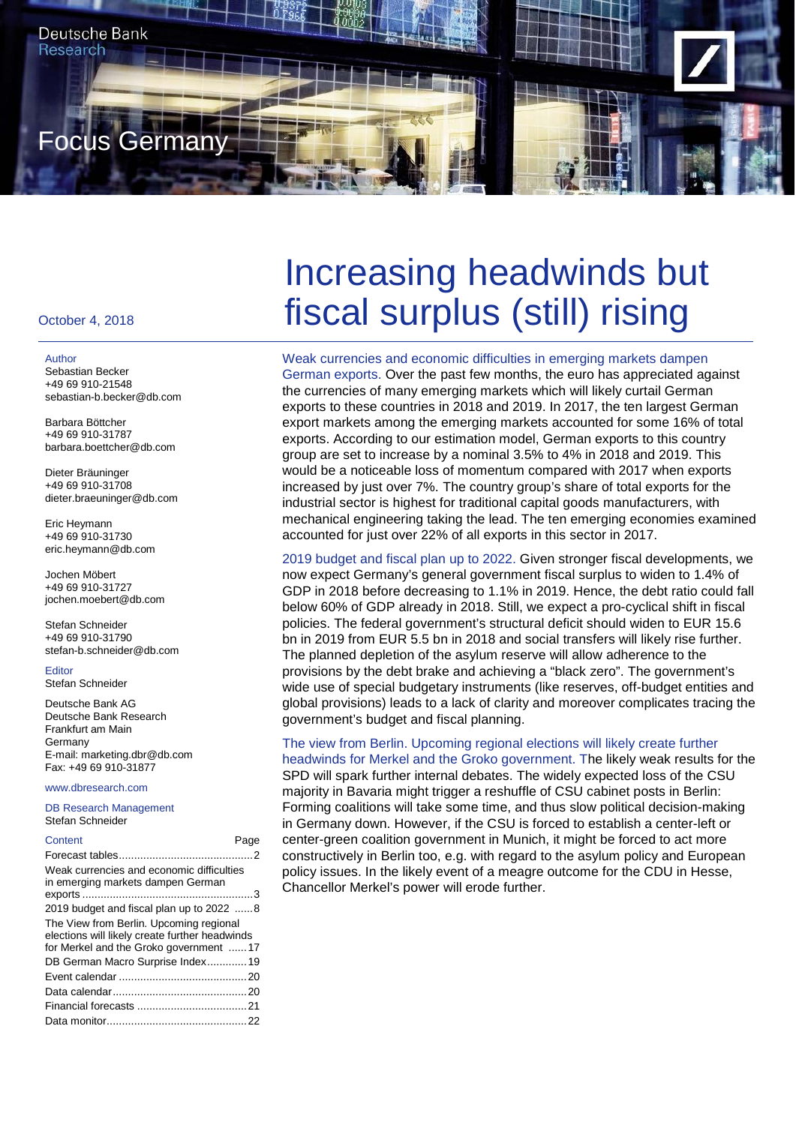

#### October 4, 2018

#### Author

Sebastian Becker +49 69 910-21548 sebastian-b.becker@db.com

Barbara Böttcher +49 69 910-31787 barbara.boettcher@db.com

Dieter Bräuninger +49 69 910-31708 dieter.braeuninger@db.com

Eric Heymann +49 69 910-31730 eric.heymann@db.com

Jochen Möbert +49 69 910-31727 jochen.moebert@db.com

Stefan Schneider +49 69 910-31790 stefan-b.schneider@db.com

Editor Stefan Schneider

Deutsche Bank AG Deutsche Bank Research Frankfurt am Main Germany E-mail: marketing.dbr@db.com Fax: +49 69 910-31877

www.dbresearch.com

DB Research Management Stefan Schneider

| Content                                                                                                                             | Page |
|-------------------------------------------------------------------------------------------------------------------------------------|------|
|                                                                                                                                     |      |
| Weak currencies and economic difficulties<br>in emerging markets dampen German                                                      |      |
| 2019 budget and fiscal plan up to 2022 8                                                                                            |      |
| The View from Berlin. Upcoming regional<br>elections will likely create further headwinds<br>for Merkel and the Groko government 17 |      |
| DB German Macro Surprise Index19                                                                                                    |      |
|                                                                                                                                     |      |
|                                                                                                                                     |      |
|                                                                                                                                     |      |
|                                                                                                                                     |      |

# Increasing headwinds but fiscal surplus (still) rising

Weak currencies and economic difficulties in emerging markets dampen German exports. Over the past few months, the euro has appreciated against the currencies of many emerging markets which will likely curtail German exports to these countries in 2018 and 2019. In 2017, the ten largest German export markets among the emerging markets accounted for some 16% of total exports. According to our estimation model, German exports to this country group are set to increase by a nominal 3.5% to 4% in 2018 and 2019. This would be a noticeable loss of momentum compared with 2017 when exports increased by just over 7%. The country group's share of total exports for the industrial sector is highest for traditional capital goods manufacturers, with mechanical engineering taking the lead. The ten emerging economies examined accounted for just over 22% of all exports in this sector in 2017.

2019 budget and fiscal plan up to 2022. Given stronger fiscal developments, we now expect Germany's general government fiscal surplus to widen to 1.4% of GDP in 2018 before decreasing to 1.1% in 2019. Hence, the debt ratio could fall below 60% of GDP already in 2018. Still, we expect a pro-cyclical shift in fiscal policies. The federal government's structural deficit should widen to EUR 15.6 bn in 2019 from EUR 5.5 bn in 2018 and social transfers will likely rise further. The planned depletion of the asylum reserve will allow adherence to the provisions by the debt brake and achieving a "black zero". The government's wide use of special budgetary instruments (like reserves, off-budget entities and global provisions) leads to a lack of clarity and moreover complicates tracing the government's budget and fiscal planning.

# The view from Berlin. Upcoming regional elections will likely create further

headwinds for Merkel and the Groko government. The likely weak results for the SPD will spark further internal debates. The widely expected loss of the CSU majority in Bavaria might trigger a reshuffle of CSU cabinet posts in Berlin: Forming coalitions will take some time, and thus slow political decision-making in Germany down. However, if the CSU is forced to establish a center-left or center-green coalition government in Munich, it might be forced to act more constructively in Berlin too, e.g. with regard to the asylum policy and European policy issues. In the likely event of a meagre outcome for the CDU in Hesse, Chancellor Merkel's power will erode further.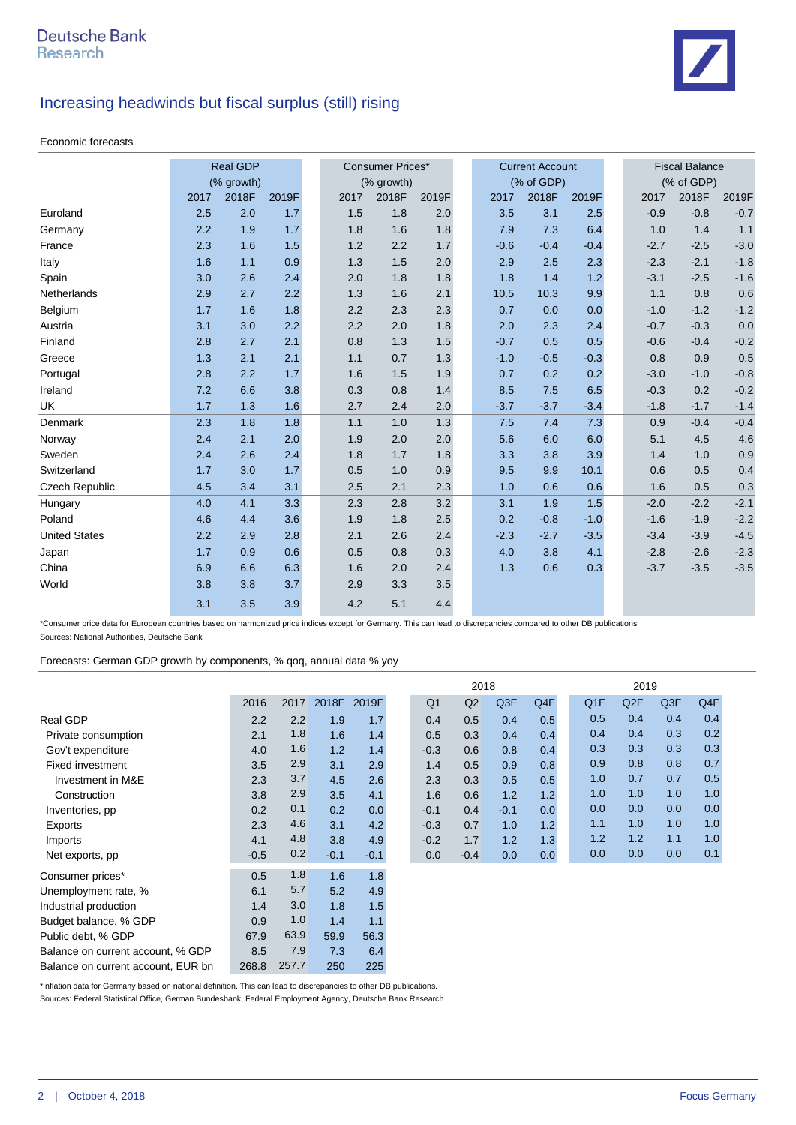

|                       |      | <b>Real GDP</b> |       | <b>Consumer Prices*</b> |            |       |  |        | <b>Current Account</b> |        | <b>Fiscal Balance</b> |            |         |
|-----------------------|------|-----------------|-------|-------------------------|------------|-------|--|--------|------------------------|--------|-----------------------|------------|---------|
|                       |      | (% growth)      |       |                         | (% growth) |       |  |        | (% of GDP)             |        |                       | (% of GDP) |         |
|                       | 2017 | 2018F           | 2019F | 2017                    | 2018F      | 2019F |  | 2017   | 2018F                  | 2019F  | 2017                  | 2018F      | 2019F   |
| Euroland              | 2.5  | 2.0             | 1.7   | 1.5                     | 1.8        | 2.0   |  | 3.5    | 3.1                    | 2.5    | $-0.9$                | $-0.8$     | $-0.7$  |
| Germany               | 2.2  | 1.9             | 1.7   | 1.8                     | 1.6        | 1.8   |  | 7.9    | 7.3                    | 6.4    | 1.0                   | 1.4        | 1.1     |
| France                | 2.3  | 1.6             | 1.5   | 1.2                     | 2.2        | 1.7   |  | $-0.6$ | $-0.4$                 | $-0.4$ | $-2.7$                | $-2.5$     | $-3.0$  |
| Italy                 | 1.6  | 1.1             | 0.9   | 1.3                     | 1.5        | 2.0   |  | 2.9    | 2.5                    | 2.3    | $-2.3$                | $-2.1$     | $-1.8$  |
| Spain                 | 3.0  | 2.6             | 2.4   | 2.0                     | 1.8        | 1.8   |  | 1.8    | 1.4                    | 1.2    | $-3.1$                | $-2.5$     | $-1.6$  |
| Netherlands           | 2.9  | 2.7             | 2.2   | 1.3                     | 1.6        | 2.1   |  | 10.5   | 10.3                   | 9.9    | 1.1                   | 0.8        | 0.6     |
| Belgium               | 1.7  | 1.6             | 1.8   | 2.2                     | 2.3        | 2.3   |  | 0.7    | 0.0                    | 0.0    | $-1.0$                | $-1.2$     | $-1.2$  |
| Austria               | 3.1  | 3.0             | 2.2   | 2.2                     | 2.0        | 1.8   |  | 2.0    | 2.3                    | 2.4    | $-0.7$                | $-0.3$     | 0.0     |
| Finland               | 2.8  | 2.7             | 2.1   | 0.8                     | 1.3        | 1.5   |  | $-0.7$ | 0.5                    | 0.5    | $-0.6$                | $-0.4$     | $-0.2$  |
| Greece                | 1.3  | 2.1             | 2.1   | 1.1                     | 0.7        | 1.3   |  | $-1.0$ | $-0.5$                 | $-0.3$ | 0.8                   | 0.9        | $0.5\,$ |
| Portugal              | 2.8  | 2.2             | 1.7   | 1.6                     | 1.5        | 1.9   |  | 0.7    | 0.2                    | 0.2    | $-3.0$                | $-1.0$     | $-0.8$  |
| Ireland               | 7.2  | 6.6             | 3.8   | 0.3                     | 0.8        | 1.4   |  | 8.5    | 7.5                    | 6.5    | $-0.3$                | 0.2        | $-0.2$  |
| <b>UK</b>             | 1.7  | 1.3             | 1.6   | 2.7                     | 2.4        | 2.0   |  | $-3.7$ | $-3.7$                 | $-3.4$ | $-1.8$                | $-1.7$     | $-1.4$  |
| Denmark               | 2.3  | 1.8             | 1.8   | 1.1                     | 1.0        | 1.3   |  | 7.5    | 7.4                    | 7.3    | 0.9                   | $-0.4$     | $-0.4$  |
| Norway                | 2.4  | 2.1             | 2.0   | 1.9                     | 2.0        | 2.0   |  | 5.6    | 6.0                    | 6.0    | 5.1                   | 4.5        | $4.6\,$ |
| Sweden                | 2.4  | 2.6             | 2.4   | 1.8                     | 1.7        | 1.8   |  | 3.3    | 3.8                    | 3.9    | 1.4                   | 1.0        | $0.9\,$ |
| Switzerland           | 1.7  | 3.0             | 1.7   | 0.5                     | 1.0        | 0.9   |  | 9.5    | 9.9                    | 10.1   | 0.6                   | 0.5        | 0.4     |
| <b>Czech Republic</b> | 4.5  | 3.4             | 3.1   | 2.5                     | 2.1        | 2.3   |  | 1.0    | 0.6                    | 0.6    | 1.6                   | 0.5        | 0.3     |
| Hungary               | 4.0  | 4.1             | 3.3   | 2.3                     | 2.8        | 3.2   |  | 3.1    | 1.9                    | 1.5    | $-2.0$                | $-2.2$     | $-2.1$  |
| Poland                | 4.6  | 4.4             | 3.6   | 1.9                     | 1.8        | 2.5   |  | 0.2    | $-0.8$                 | $-1.0$ | $-1.6$                | $-1.9$     | $-2.2$  |
| <b>United States</b>  | 2.2  | 2.9             | 2.8   | 2.1                     | 2.6        | 2.4   |  | $-2.3$ | $-2.7$                 | $-3.5$ | $-3.4$                | $-3.9$     | $-4.5$  |
| Japan                 | 1.7  | 0.9             | 0.6   | 0.5                     | 0.8        | 0.3   |  | 4.0    | 3.8                    | 4.1    | $-2.8$                | $-2.6$     | $-2.3$  |
| China                 | 6.9  | 6.6             | 6.3   | 1.6                     | 2.0        | 2.4   |  | 1.3    | 0.6                    | 0.3    | $-3.7$                | $-3.5$     | $-3.5$  |
| World                 | 3.8  | 3.8             | 3.7   | 2.9                     | 3.3        | 3.5   |  |        |                        |        |                       |            |         |
|                       | 3.1  | 3.5             | 3.9   | 4.2                     | 5.1        | 4.4   |  |        |                        |        |                       |            |         |

\*Consumer price data for European countries based on harmonized price indices except for Germany. This can lead to discrepancies compared to other DB publications Sources: National Authorities, Deutsche Bank

Forecasts: German GDP growth by components, % qoq, annual data % yoy

|                                   |        |      |        |        |                | 2018   |        |     | 2019 |                  |     |     |  |
|-----------------------------------|--------|------|--------|--------|----------------|--------|--------|-----|------|------------------|-----|-----|--|
|                                   | 2016   | 2017 | 2018F  | 2019F  | Q <sub>1</sub> | Q2     | Q3F    | Q4F | Q1F  | Q <sub>2</sub> F | Q3F | Q4F |  |
| Real GDP                          | 2.2    | 2.2  | 1.9    | 1.7    | 0.4            | 0.5    | 0.4    | 0.5 | 0.5  | 0.4              | 0.4 | 0.4 |  |
| Private consumption               | 2.1    | 1.8  | 1.6    | 1.4    | 0.5            | 0.3    | 0.4    | 0.4 | 0.4  | 0.4              | 0.3 | 0.2 |  |
| Gov't expenditure                 | 4.0    | 1.6  | 1.2    | 1.4    | $-0.3$         | 0.6    | 0.8    | 0.4 | 0.3  | 0.3              | 0.3 | 0.3 |  |
| <b>Fixed investment</b>           | 3.5    | 2.9  | 3.1    | 2.9    | 1.4            | 0.5    | 0.9    | 0.8 | 0.9  | 0.8              | 0.8 | 0.7 |  |
| Investment in M&E                 | 2.3    | 3.7  | 4.5    | 2.6    | 2.3            | 0.3    | 0.5    | 0.5 | 1.0  | 0.7              | 0.7 | 0.5 |  |
| Construction                      | 3.8    | 2.9  | 3.5    | 4.1    | 1.6            | 0.6    | 1.2    | 1.2 | 1.0  | 1.0              | 1.0 | 1.0 |  |
| Inventories, pp                   | 0.2    | 0.1  | 0.2    | 0.0    | $-0.1$         | 0.4    | $-0.1$ | 0.0 | 0.0  | 0.0              | 0.0 | 0.0 |  |
| Exports                           | 2.3    | 4.6  | 3.1    | 4.2    | $-0.3$         | 0.7    | 1.0    | 1.2 | 1.1  | 1.0              | 1.0 | 1.0 |  |
| Imports                           | 4.1    | 4.8  | 3.8    | 4.9    | $-0.2$         | 1.7    | 1.2    | 1.3 | 1.2  | 1.2              | 1.1 | 1.0 |  |
| Net exports, pp                   | $-0.5$ | 0.2  | $-0.1$ | $-0.1$ | 0.0            | $-0.4$ | 0.0    | 0.0 | 0.0  | 0.0              | 0.0 | 0.1 |  |
| Consumer prices*                  | 0.5    | 1.8  | 1.6    | 1.8    |                |        |        |     |      |                  |     |     |  |
| Unemployment rate, %              | 6.1    | 5.7  | 5.2    | 4.9    |                |        |        |     |      |                  |     |     |  |
| Industrial production             | 1.4    | 3.0  | 1.8    | 1.5    |                |        |        |     |      |                  |     |     |  |
| Budget balance, % GDP             | 0.9    | 1.0  | 1.4    | 1.1    |                |        |        |     |      |                  |     |     |  |
| Public debt, % GDP                | 67.9   | 63.9 | 59.9   | 56.3   |                |        |        |     |      |                  |     |     |  |
| Balance on current account, % GDP | 8.5    | 7.9  | 7.3    | 6.4    |                |        |        |     |      |                  |     |     |  |

\*Inflation data for Germany based on national definition. This can lead to discrepancies to other DB publications.

Balance on current account, EUR bn 268.8 257.7 250 225

Sources: Federal Statistical Office, German Bundesbank, Federal Employment Agency, Deutsche Bank Research

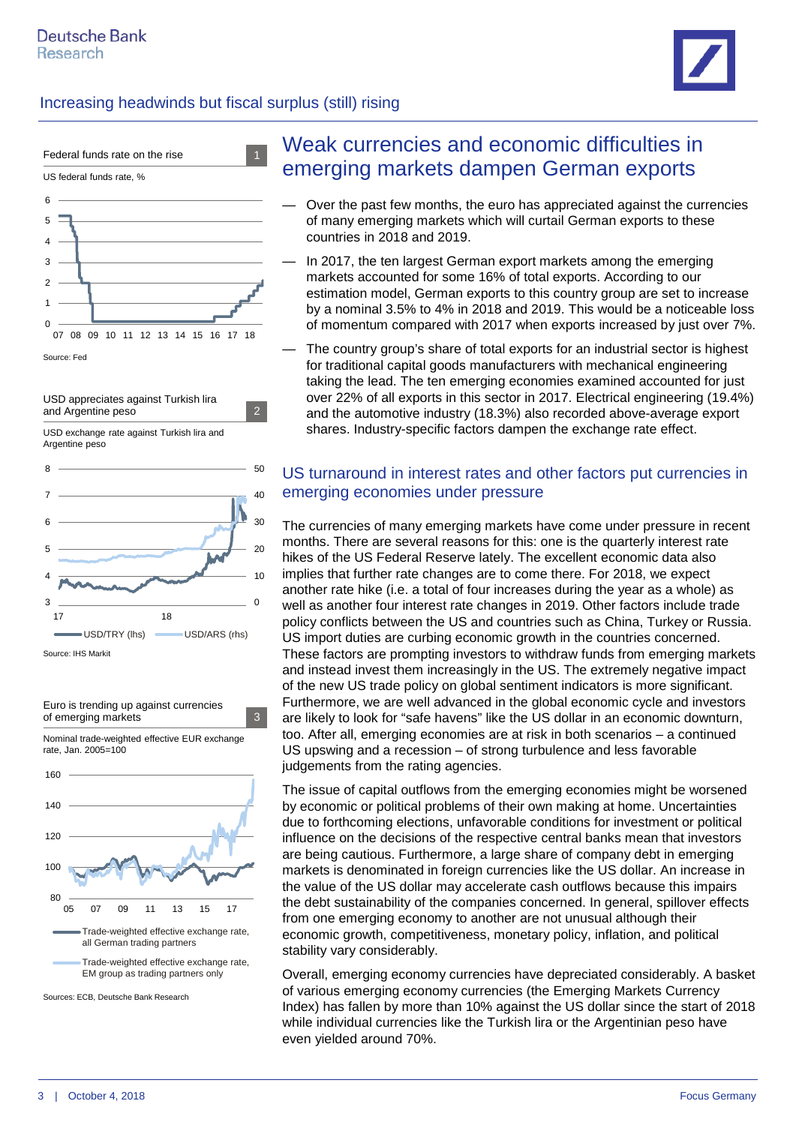



USD appreciates against Turkish lira and Argentine peso 2

USD exchange rate against Turkish lira and Argentine peso





# Weak currencies and economic difficulties in emerging markets dampen German exports

- Over the past few months, the euro has appreciated against the currencies of many emerging markets which will curtail German exports to these countries in 2018 and 2019.
- In 2017, the ten largest German export markets among the emerging markets accounted for some 16% of total exports. According to our estimation model, German exports to this country group are set to increase by a nominal 3.5% to 4% in 2018 and 2019. This would be a noticeable loss of momentum compared with 2017 when exports increased by just over 7%.
- The country group's share of total exports for an industrial sector is highest for traditional capital goods manufacturers with mechanical engineering taking the lead. The ten emerging economies examined accounted for just over 22% of all exports in this sector in 2017. Electrical engineering (19.4%) and the automotive industry (18.3%) also recorded above-average export shares. Industry-specific factors dampen the exchange rate effect.

#### US turnaround in interest rates and other factors put currencies in emerging economies under pressure

The currencies of many emerging markets have come under pressure in recent months. There are several reasons for this: one is the quarterly interest rate hikes of the US Federal Reserve lately. The excellent economic data also implies that further rate changes are to come there. For 2018, we expect another rate hike (i.e. a total of four increases during the year as a whole) as well as another four interest rate changes in 2019. Other factors include trade policy conflicts between the US and countries such as China, Turkey or Russia. US import duties are curbing economic growth in the countries concerned. These factors are prompting investors to withdraw funds from emerging markets and instead invest them increasingly in the US. The extremely negative impact of the new US trade policy on global sentiment indicators is more significant. Furthermore, we are well advanced in the global economic cycle and investors are likely to look for "safe havens" like the US dollar in an economic downturn, too. After all, emerging economies are at risk in both scenarios – a continued US upswing and a recession – of strong turbulence and less favorable judgements from the rating agencies.

The issue of capital outflows from the emerging economies might be worsened by economic or political problems of their own making at home. Uncertainties due to forthcoming elections, unfavorable conditions for investment or political influence on the decisions of the respective central banks mean that investors are being cautious. Furthermore, a large share of company debt in emerging markets is denominated in foreign currencies like the US dollar. An increase in the value of the US dollar may accelerate cash outflows because this impairs the debt sustainability of the companies concerned. In general, spillover effects from one emerging economy to another are not unusual although their economic growth, competitiveness, monetary policy, inflation, and political stability vary considerably.

Overall, emerging economy currencies have depreciated considerably. A basket of various emerging economy currencies (the Emerging Markets Currency Index) has fallen by more than 10% against the US dollar since the start of 2018 while individual currencies like the Turkish lira or the Argentinian peso have even yielded around 70%.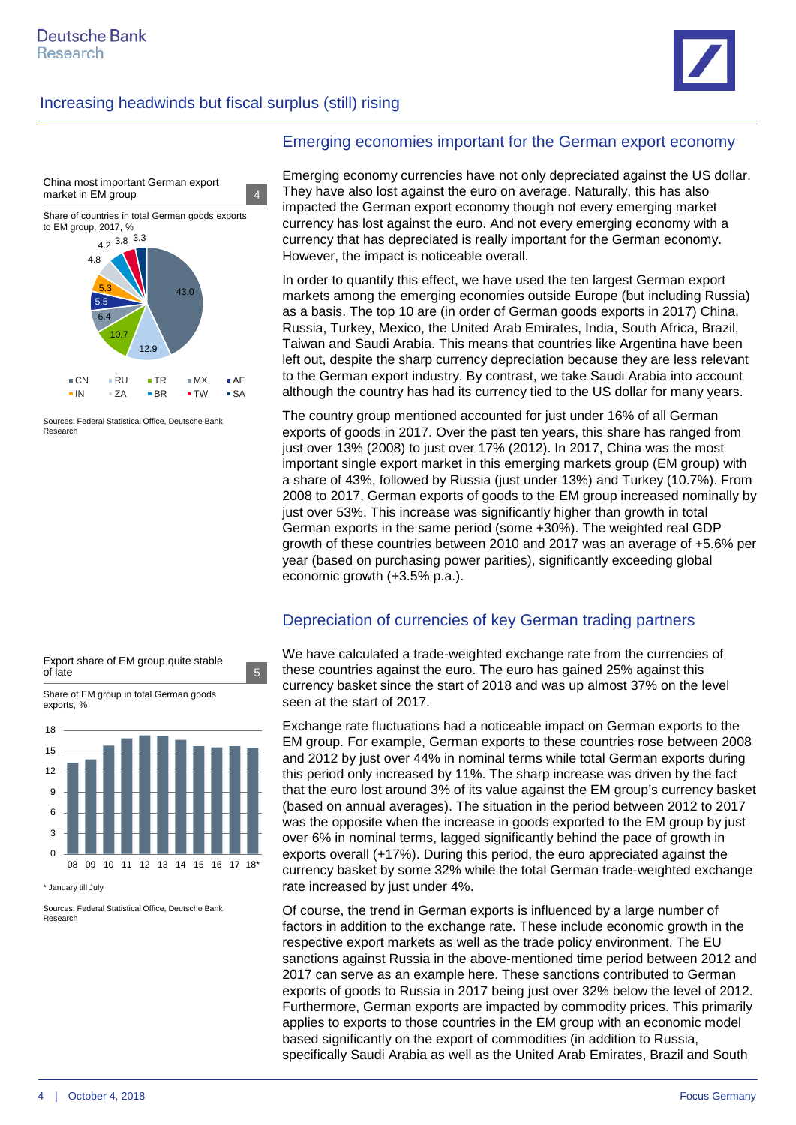



Sources: Federal Statistical Office, Deutsche Bank **Research** 



\* January till July

Sources: Federal Statistical Office, Deutsche Bank Research

#### Emerging economies important for the German export economy

Emerging economy currencies have not only depreciated against the US dollar. They have also lost against the euro on average. Naturally, this has also impacted the German export economy though not every emerging market currency has lost against the euro. And not every emerging economy with a currency that has depreciated is really important for the German economy. However, the impact is noticeable overall.

In order to quantify this effect, we have used the ten largest German export markets among the emerging economies outside Europe (but including Russia) as a basis. The top 10 are (in order of German goods exports in 2017) China, Russia, Turkey, Mexico, the United Arab Emirates, India, South Africa, Brazil, Taiwan and Saudi Arabia. This means that countries like Argentina have been left out, despite the sharp currency depreciation because they are less relevant to the German export industry. By contrast, we take Saudi Arabia into account although the country has had its currency tied to the US dollar for many years.

The country group mentioned accounted for just under 16% of all German exports of goods in 2017. Over the past ten years, this share has ranged from just over 13% (2008) to just over 17% (2012). In 2017, China was the most important single export market in this emerging markets group (EM group) with a share of 43%, followed by Russia (just under 13%) and Turkey (10.7%). From 2008 to 2017, German exports of goods to the EM group increased nominally by just over 53%. This increase was significantly higher than growth in total German exports in the same period (some +30%). The weighted real GDP growth of these countries between 2010 and 2017 was an average of +5.6% per year (based on purchasing power parities), significantly exceeding global economic growth (+3.5% p.a.).

#### Depreciation of currencies of key German trading partners

We have calculated a trade-weighted exchange rate from the currencies of these countries against the euro. The euro has gained 25% against this currency basket since the start of 2018 and was up almost 37% on the level seen at the start of 2017.

Exchange rate fluctuations had a noticeable impact on German exports to the EM group. For example, German exports to these countries rose between 2008 and 2012 by just over 44% in nominal terms while total German exports during this period only increased by 11%. The sharp increase was driven by the fact that the euro lost around 3% of its value against the EM group's currency basket (based on annual averages). The situation in the period between 2012 to 2017 was the opposite when the increase in goods exported to the EM group by just over 6% in nominal terms, lagged significantly behind the pace of growth in exports overall (+17%). During this period, the euro appreciated against the currency basket by some 32% while the total German trade-weighted exchange rate increased by just under 4%.

Of course, the trend in German exports is influenced by a large number of factors in addition to the exchange rate. These include economic growth in the respective export markets as well as the trade policy environment. The EU sanctions against Russia in the above-mentioned time period between 2012 and 2017 can serve as an example here. These sanctions contributed to German exports of goods to Russia in 2017 being just over 32% below the level of 2012. Furthermore, German exports are impacted by commodity prices. This primarily applies to exports to those countries in the EM group with an economic model based significantly on the export of commodities (in addition to Russia, specifically Saudi Arabia as well as the United Arab Emirates, Brazil and South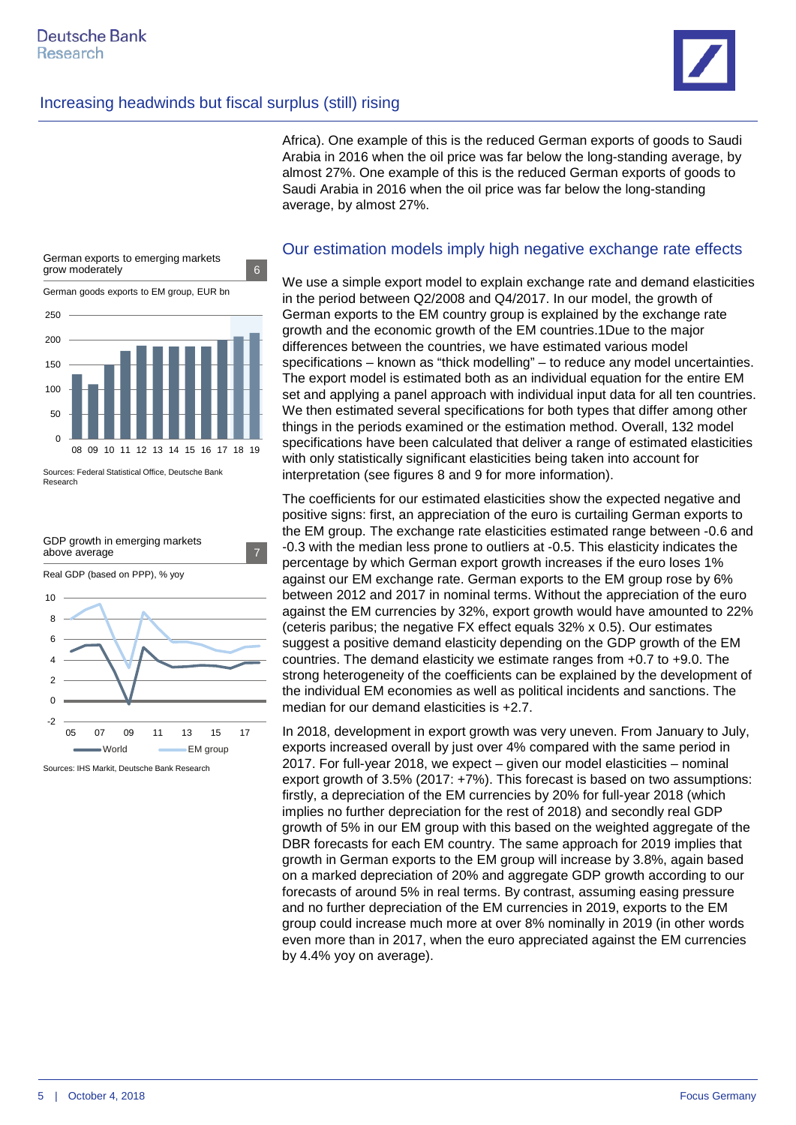Africa). One example of this is the reduced German exports of goods to Saudi Arabia in 2016 when the oil price was far below the long-standing average, by almost 27%. One example of this is the reduced German exports of goods to Saudi Arabia in 2016 when the oil price was far below the long-standing average, by almost 27%.



Sources: Federal Statistical Office, Deutsche Bank Research



Sources: IHS Markit, Deutsche Bank Research

#### Our estimation models imply high negative exchange rate effects

We use a simple export model to explain exchange rate and demand elasticities in the period between Q2/2008 and Q4/2017. In our model, the growth of German exports to the EM country group is explained by the exchange rate growth and the economic growth of the EM countries.1Due to the major differences between the countries, we have estimated various model specifications – known as "thick modelling" – to reduce any model uncertainties. The export model is estimated both as an individual equation for the entire EM set and applying a panel approach with individual input data for all ten countries. We then estimated several specifications for both types that differ among other things in the periods examined or the estimation method. Overall, 132 model specifications have been calculated that deliver a range of estimated elasticities with only statistically significant elasticities being taken into account for interpretation (see figures 8 and 9 for more information).

The coefficients for our estimated elasticities show the expected negative and positive signs: first, an appreciation of the euro is curtailing German exports to the EM group. The exchange rate elasticities estimated range between -0.6 and -0.3 with the median less prone to outliers at -0.5. This elasticity indicates the percentage by which German export growth increases if the euro loses 1% against our EM exchange rate. German exports to the EM group rose by 6% between 2012 and 2017 in nominal terms. Without the appreciation of the euro against the EM currencies by 32%, export growth would have amounted to 22% (ceteris paribus; the negative FX effect equals 32% x 0.5). Our estimates suggest a positive demand elasticity depending on the GDP growth of the EM countries. The demand elasticity we estimate ranges from +0.7 to +9.0. The strong heterogeneity of the coefficients can be explained by the development of the individual EM economies as well as political incidents and sanctions. The median for our demand elasticities is +2.7.

In 2018, development in export growth was very uneven. From January to July, exports increased overall by just over 4% compared with the same period in 2017. For full-year 2018, we expect – given our model elasticities – nominal export growth of 3.5% (2017: +7%). This forecast is based on two assumptions: firstly, a depreciation of the EM currencies by 20% for full-year 2018 (which implies no further depreciation for the rest of 2018) and secondly real GDP growth of 5% in our EM group with this based on the weighted aggregate of the DBR forecasts for each EM country. The same approach for 2019 implies that growth in German exports to the EM group will increase by 3.8%, again based on a marked depreciation of 20% and aggregate GDP growth according to our forecasts of around 5% in real terms. By contrast, assuming easing pressure and no further depreciation of the EM currencies in 2019, exports to the EM group could increase much more at over 8% nominally in 2019 (in other words even more than in 2017, when the euro appreciated against the EM currencies by 4.4% yoy on average).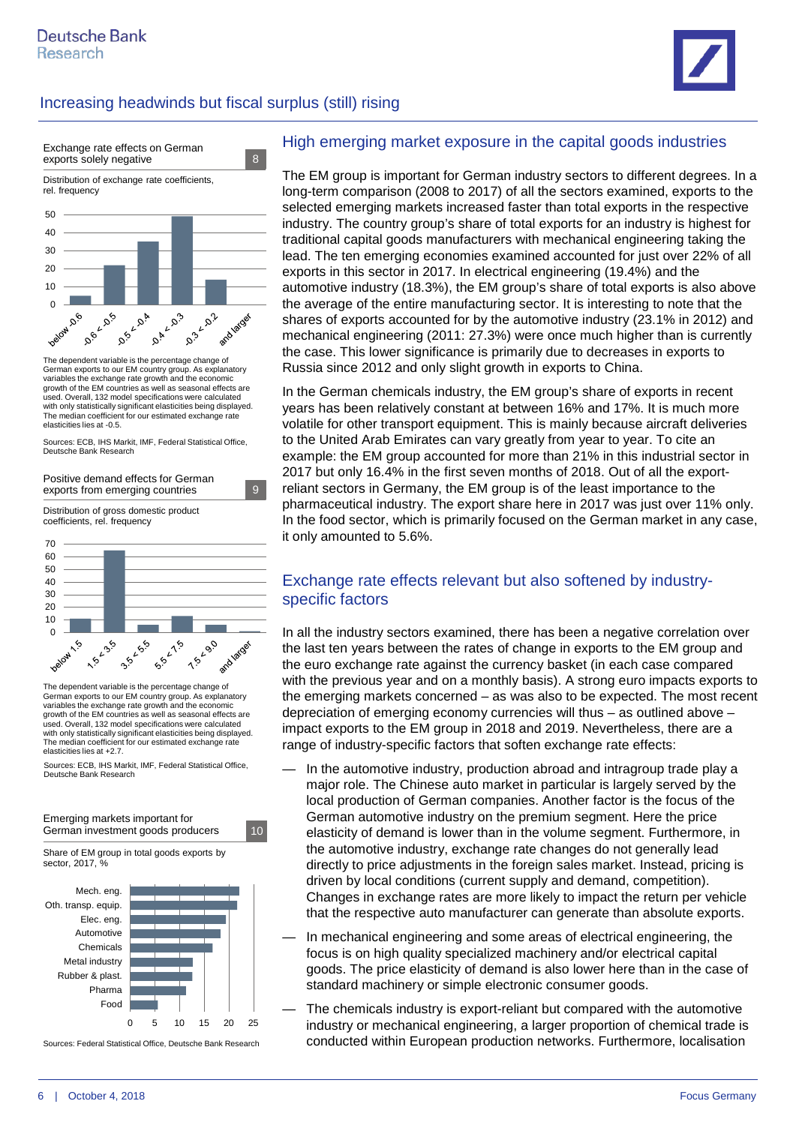



The dependent variable is the percentage change of German exports to our EM country group. As explanatory variables the exchange rate growth and the economic growth of the EM countries as well as seasonal effects are used. Overall, 132 model specifications were calculated with only statistically significant elasticities being displayed. The median coefficient for our estimated exchange rate elasticities lies at -0.5.

Sources: ECB, IHS Markit, IMF, Federal Statistical Office, Deutsche Bank Research



The dependent variable is the percentage change of German exports to our EM country group. As explanatory variables the exchange rate growth and the economic growth of the EM countries as well as seasonal effects are used. Overall, 132 model specifications were calculated with only statistically significant elasticities being displayed. The median coefficient for our estimated exchange rate elasticities lies at +2.7.

Sources: ECB, IHS Markit, IMF, Federal Statistical Office, Deutsche Bank Research



Sources: Federal Statistical Office, Deutsche Bank Research

#### High emerging market exposure in the capital goods industries

The EM group is important for German industry sectors to different degrees. In a long-term comparison (2008 to 2017) of all the sectors examined, exports to the selected emerging markets increased faster than total exports in the respective industry. The country group's share of total exports for an industry is highest for traditional capital goods manufacturers with mechanical engineering taking the lead. The ten emerging economies examined accounted for just over 22% of all exports in this sector in 2017. In electrical engineering (19.4%) and the automotive industry (18.3%), the EM group's share of total exports is also above the average of the entire manufacturing sector. It is interesting to note that the shares of exports accounted for by the automotive industry (23.1% in 2012) and mechanical engineering (2011: 27.3%) were once much higher than is currently the case. This lower significance is primarily due to decreases in exports to Russia since 2012 and only slight growth in exports to China.

In the German chemicals industry, the EM group's share of exports in recent years has been relatively constant at between 16% and 17%. It is much more volatile for other transport equipment. This is mainly because aircraft deliveries to the United Arab Emirates can vary greatly from year to year. To cite an example: the EM group accounted for more than 21% in this industrial sector in 2017 but only 16.4% in the first seven months of 2018. Out of all the exportreliant sectors in Germany, the EM group is of the least importance to the pharmaceutical industry. The export share here in 2017 was just over 11% only. In the food sector, which is primarily focused on the German market in any case, it only amounted to 5.6%.

#### Exchange rate effects relevant but also softened by industryspecific factors

In all the industry sectors examined, there has been a negative correlation over the last ten years between the rates of change in exports to the EM group and the euro exchange rate against the currency basket (in each case compared with the previous year and on a monthly basis). A strong euro impacts exports to the emerging markets concerned – as was also to be expected. The most recent depreciation of emerging economy currencies will thus – as outlined above – impact exports to the EM group in 2018 and 2019. Nevertheless, there are a range of industry-specific factors that soften exchange rate effects:

- In the automotive industry, production abroad and intragroup trade play a major role. The Chinese auto market in particular is largely served by the local production of German companies. Another factor is the focus of the German automotive industry on the premium segment. Here the price elasticity of demand is lower than in the volume segment. Furthermore, in the automotive industry, exchange rate changes do not generally lead directly to price adjustments in the foreign sales market. Instead, pricing is driven by local conditions (current supply and demand, competition). Changes in exchange rates are more likely to impact the return per vehicle that the respective auto manufacturer can generate than absolute exports.
- In mechanical engineering and some areas of electrical engineering, the focus is on high quality specialized machinery and/or electrical capital goods. The price elasticity of demand is also lower here than in the case of standard machinery or simple electronic consumer goods.
- The chemicals industry is export-reliant but compared with the automotive industry or mechanical engineering, a larger proportion of chemical trade is conducted within European production networks. Furthermore, localisation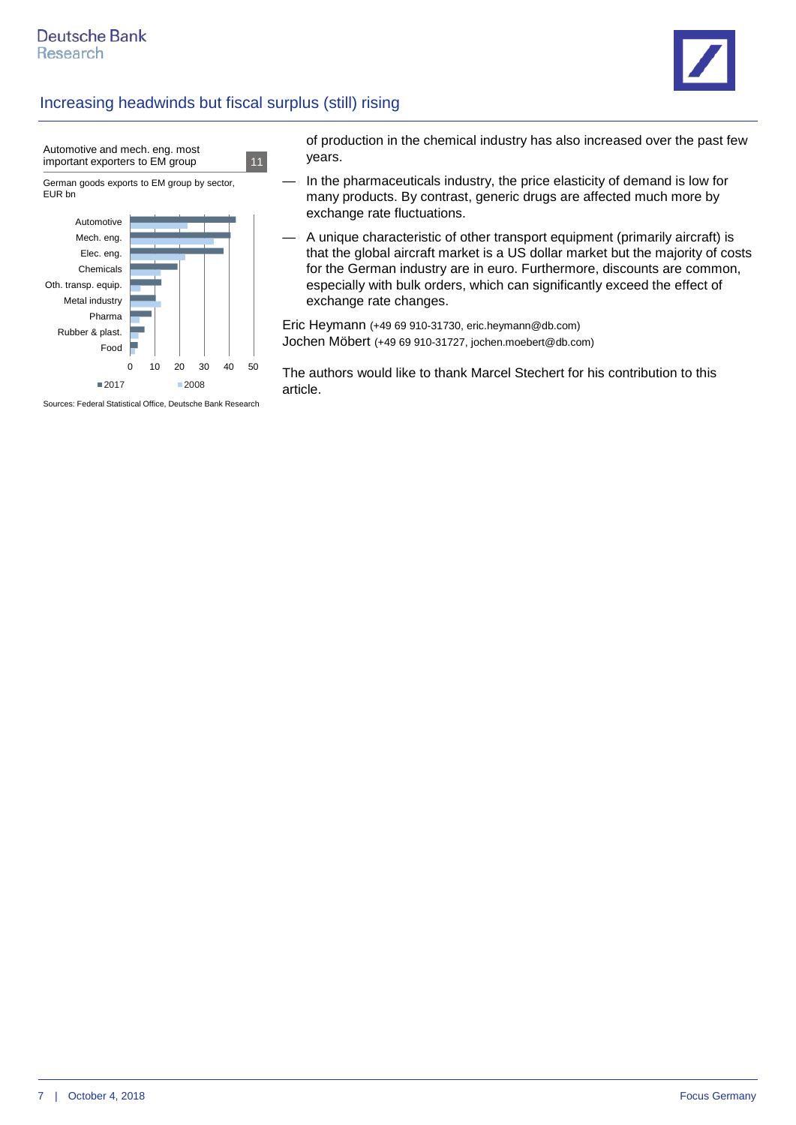

of production in the chemical industry has also increased over the past few years.

- In the pharmaceuticals industry, the price elasticity of demand is low for many products. By contrast, generic drugs are affected much more by exchange rate fluctuations.
- A unique characteristic of other transport equipment (primarily aircraft) is that the global aircraft market is a US dollar market but the majority of costs for the German industry are in euro. Furthermore, discounts are common, especially with bulk orders, which can significantly exceed the effect of exchange rate changes.

Eric Heymann (+49 69 910-31730, eric.heymann@db.com) Jochen Möbert (+49 69 910-31727, jochen.moebert@db.com)

The authors would like to thank Marcel Stechert for his contribution to this article.

Sources: Federal Statistical Office, Deutsche Bank Research

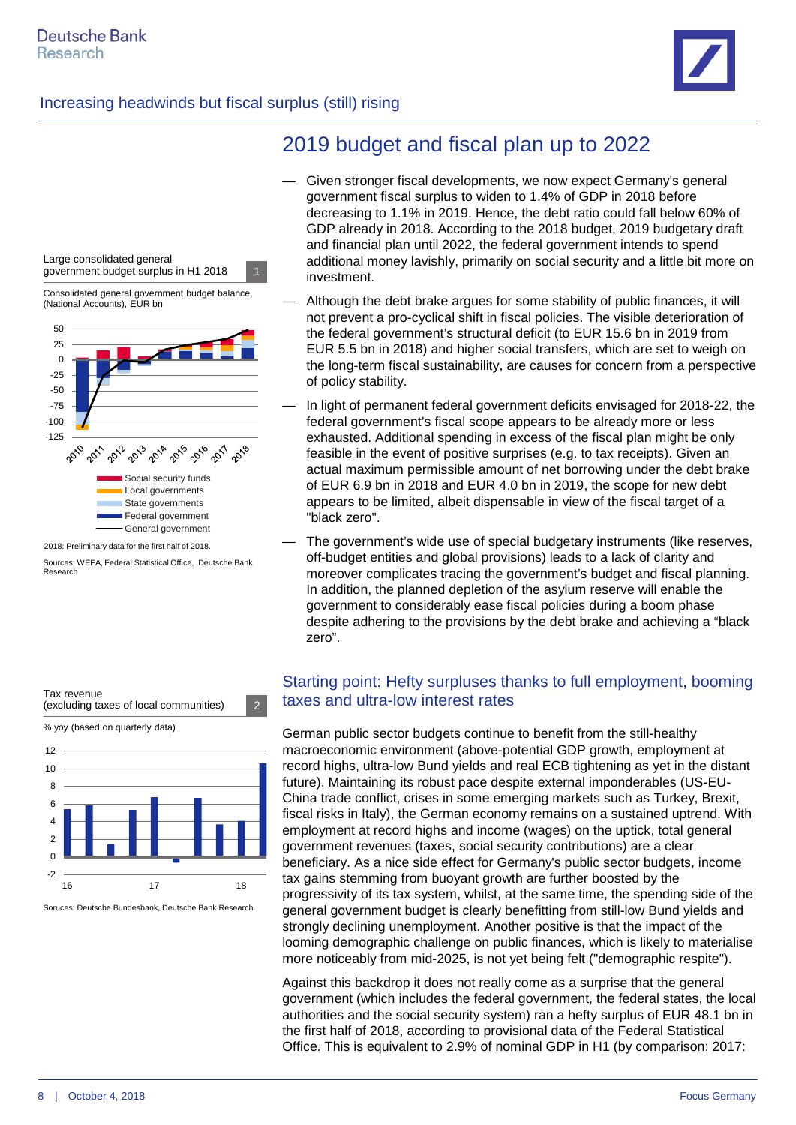



2018: Preliminary data for the first half of 2018.

Sources: WEFA, Federal Statistical Office, Deutsche Bank Research

# 2019 budget and fiscal plan up to 2022

- Given stronger fiscal developments, we now expect Germany's general government fiscal surplus to widen to 1.4% of GDP in 2018 before decreasing to 1.1% in 2019. Hence, the debt ratio could fall below 60% of GDP already in 2018. According to the 2018 budget, 2019 budgetary draft and financial plan until 2022, the federal government intends to spend additional money lavishly, primarily on social security and a little bit more on investment.
- Although the debt brake argues for some stability of public finances, it will not prevent a pro-cyclical shift in fiscal policies. The visible deterioration of the federal government's structural deficit (to EUR 15.6 bn in 2019 from EUR 5.5 bn in 2018) and higher social transfers, which are set to weigh on the long-term fiscal sustainability, are causes for concern from a perspective of policy stability.
- In light of permanent federal government deficits envisaged for 2018-22, the federal government's fiscal scope appears to be already more or less exhausted. Additional spending in excess of the fiscal plan might be only feasible in the event of positive surprises (e.g. to tax receipts). Given an actual maximum permissible amount of net borrowing under the debt brake of EUR 6.9 bn in 2018 and EUR 4.0 bn in 2019, the scope for new debt appears to be limited, albeit dispensable in view of the fiscal target of a "black zero".
- The government's wide use of special budgetary instruments (like reserves, off-budget entities and global provisions) leads to a lack of clarity and moreover complicates tracing the government's budget and fiscal planning. In addition, the planned depletion of the asylum reserve will enable the government to considerably ease fiscal policies during a boom phase despite adhering to the provisions by the debt brake and achieving a "black zero".



Soruces: Deutsche Bundesbank, Deutsche Bank Research

#### Starting point: Hefty surpluses thanks to full employment, booming taxes and ultra-low interest rates

German public sector budgets continue to benefit from the still-healthy macroeconomic environment (above-potential GDP growth, employment at record highs, ultra-low Bund yields and real ECB tightening as yet in the distant future). Maintaining its robust pace despite external imponderables (US-EU-China trade conflict, crises in some emerging markets such as Turkey, Brexit, fiscal risks in Italy), the German economy remains on a sustained uptrend. With employment at record highs and income (wages) on the uptick, total general government revenues (taxes, social security contributions) are a clear beneficiary. As a nice side effect for Germany's public sector budgets, income tax gains stemming from buoyant growth are further boosted by the progressivity of its tax system, whilst, at the same time, the spending side of the general government budget is clearly benefitting from still-low Bund yields and strongly declining unemployment. Another positive is that the impact of the looming demographic challenge on public finances, which is likely to materialise more noticeably from mid-2025, is not yet being felt ("demographic respite").

Against this backdrop it does not really come as a surprise that the general government (which includes the federal government, the federal states, the local authorities and the social security system) ran a hefty surplus of EUR 48.1 bn in the first half of 2018, according to provisional data of the Federal Statistical Office. This is equivalent to 2.9% of nominal GDP in H1 (by comparison: 2017: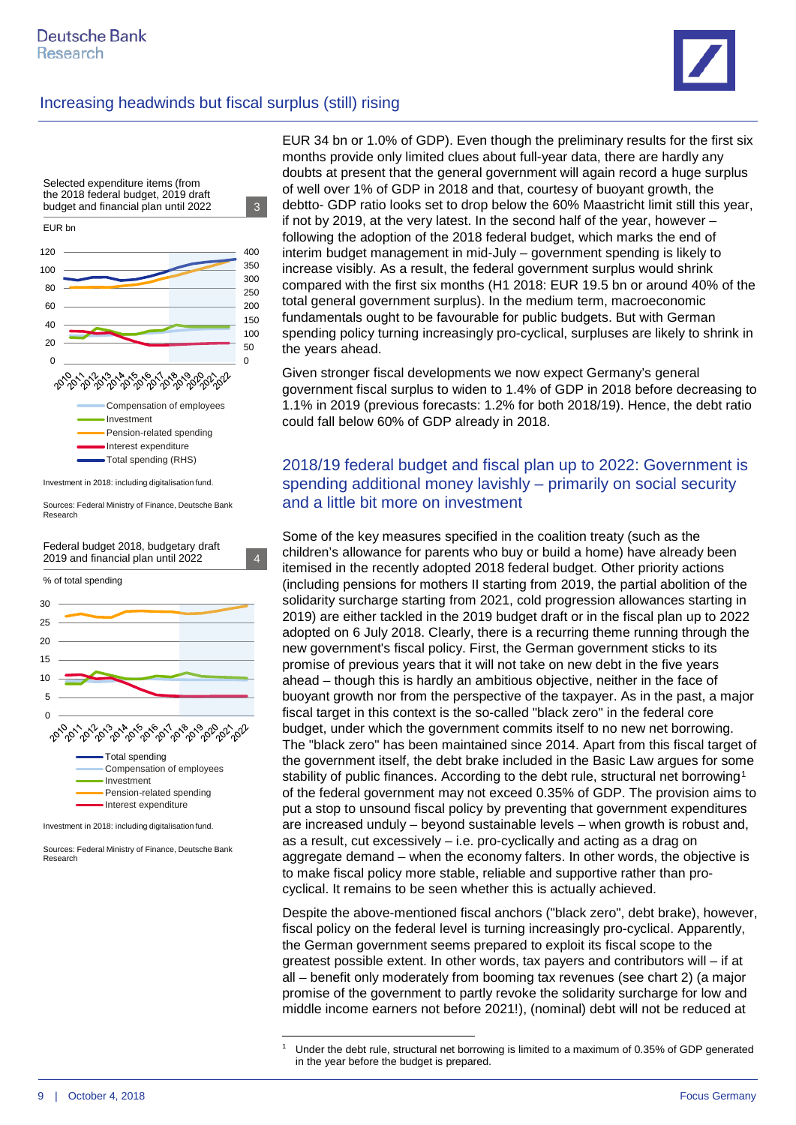

% of total spending 30 25  $2<sub>0</sub>$ 15 10 5  $\frac{1}{\sqrt{2}}$ **2013** 1-2018 **1301A 1907 BON 9,00 4015-00** ೢೆಬ್ಸ್ಬೆಂಗ್ಗ  $\phi^2$  $\mathcal{P}_2$ Total spending Compensation of employees Investment Pension-related spending Interest expenditure

Investment in 2018: including digitalisation fund.

<span id="page-8-0"></span>Sources: Federal Ministry of Finance, Deutsche Bank Research

EUR 34 bn or 1.0% of GDP). Even though the preliminary results for the first six months provide only limited clues about full-year data, there are hardly any doubts at present that the general government will again record a huge surplus of well over 1% of GDP in 2018 and that, courtesy of buoyant growth, the debtto- GDP ratio looks set to drop below the 60% Maastricht limit still this year, if not by 2019, at the very latest. In the second half of the year, however – following the adoption of the 2018 federal budget, which marks the end of interim budget management in mid-July – government spending is likely to increase visibly. As a result, the federal government surplus would shrink compared with the first six months (H1 2018: EUR 19.5 bn or around 40% of the total general government surplus). In the medium term, macroeconomic fundamentals ought to be favourable for public budgets. But with German spending policy turning increasingly pro-cyclical, surpluses are likely to shrink in the years ahead.

Given stronger fiscal developments we now expect Germany's general government fiscal surplus to widen to 1.4% of GDP in 2018 before decreasing to 1.1% in 2019 (previous forecasts: 1.2% for both 2018/19). Hence, the debt ratio could fall below 60% of GDP already in 2018.

#### 2018/19 federal budget and fiscal plan up to 2022: Government is spending additional money lavishly – primarily on social security and a little bit more on investment

Some of the key measures specified in the coalition treaty (such as the children's allowance for parents who buy or build a home) have already been itemised in the recently adopted 2018 federal budget. Other priority actions (including pensions for mothers II starting from 2019, the partial abolition of the solidarity surcharge starting from 2021, cold progression allowances starting in 2019) are either tackled in the 2019 budget draft or in the fiscal plan up to 2022 adopted on 6 July 2018. Clearly, there is a recurring theme running through the new government's fiscal policy. First, the German government sticks to its promise of previous years that it will not take on new debt in the five years ahead – though this is hardly an ambitious objective, neither in the face of buoyant growth nor from the perspective of the taxpayer. As in the past, a major fiscal target in this context is the so-called "black zero" in the federal core budget, under which the government commits itself to no new net borrowing. The "black zero" has been maintained since 2014. Apart from this fiscal target of the government itself, the debt brake included in the Basic Law argues for some stability of public finances. According to the debt rule, structural net borrowing<sup>[1](#page-8-0)</sup> of the federal government may not exceed 0.35% of GDP. The provision aims to put a stop to unsound fiscal policy by preventing that government expenditures are increased unduly – beyond sustainable levels – when growth is robust and, as a result, cut excessively – i.e. pro-cyclically and acting as a drag on aggregate demand – when the economy falters. In other words, the objective is to make fiscal policy more stable, reliable and supportive rather than procyclical. It remains to be seen whether this is actually achieved.

Despite the above-mentioned fiscal anchors ("black zero", debt brake), however, fiscal policy on the federal level is turning increasingly pro-cyclical. Apparently, the German government seems prepared to exploit its fiscal scope to the greatest possible extent. In other words, tax payers and contributors will – if at all – benefit only moderately from booming tax revenues (see chart 2) (a major promise of the government to partly revoke the solidarity surcharge for low and middle income earners not before 2021!), (nominal) debt will not be reduced at

 <sup>1</sup> Under the debt rule, structural net borrowing is limited to a maximum of 0.35% of GDP generated in the year before the budget is prepared.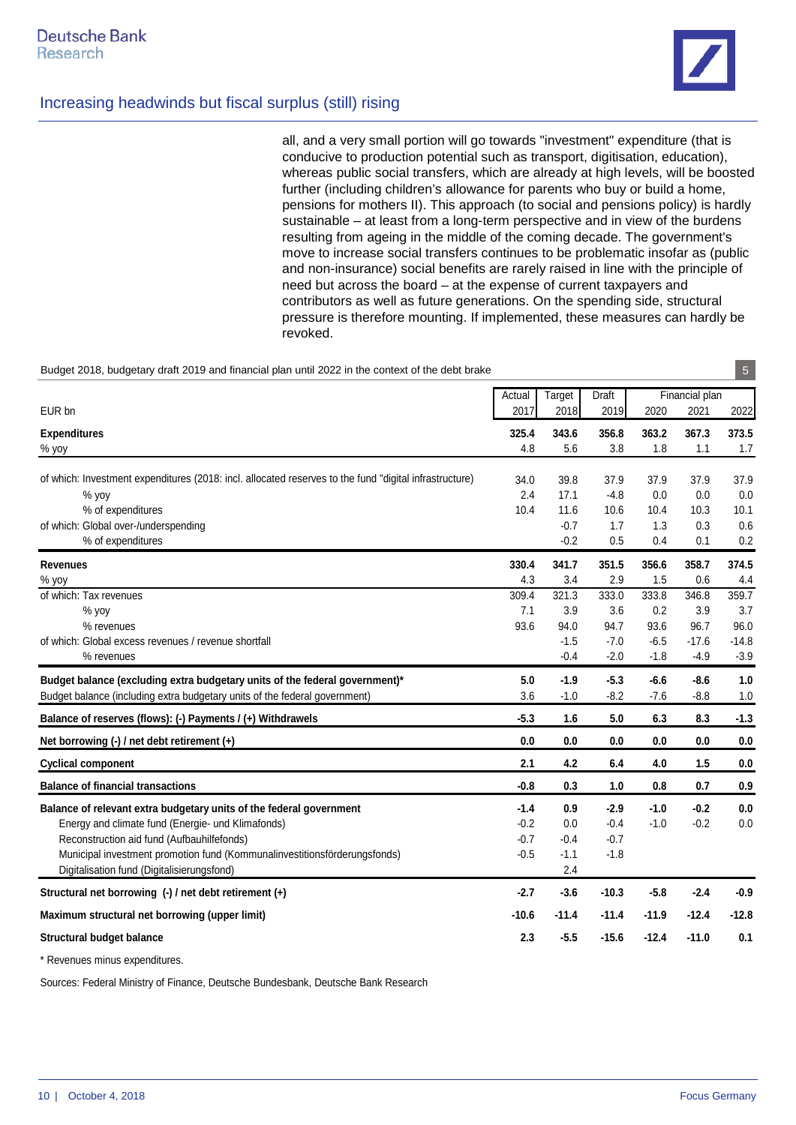all, and a very small portion will go towards "investment" expenditure (that is conducive to production potential such as transport, digitisation, education), whereas public social transfers, which are already at high levels, will be boosted further (including children's allowance for parents who buy or build a home, pensions for mothers II). This approach (to social and pensions policy) is hardly sustainable – at least from a long-term perspective and in view of the burdens resulting from ageing in the middle of the coming decade. The government's move to increase social transfers continues to be problematic insofar as (public and non-insurance) social benefits are rarely raised in line with the principle of need but across the board – at the expense of current taxpayers and contributors as well as future generations. On the spending side, structural pressure is therefore mounting. If implemented, these measures can hardly be revoked.

| Budget 2018, budgetary draft 2019 and financial plan until 2022 in the context of the debt brake       |         |         |         |         |                | $\sqrt{5}$ |
|--------------------------------------------------------------------------------------------------------|---------|---------|---------|---------|----------------|------------|
|                                                                                                        | Actual  | Target  | Draft   |         | Financial plan |            |
| EUR bn                                                                                                 | 2017    | 2018    | 2019    | 2020    | 2021           | 2022       |
| <b>Expenditures</b>                                                                                    | 325.4   | 343.6   | 356.8   | 363.2   | 367.3          | 373.5      |
| % yoy                                                                                                  | 4.8     | 5.6     | 3.8     | 1.8     | 1.1            | 1.7        |
| of which: Investment expenditures (2018: incl. allocated reserves to the fund "digital infrastructure) | 34.0    | 39.8    | 37.9    | 37.9    | 37.9           | 37.9       |
| % yoy                                                                                                  | 2.4     | 17.1    | $-4.8$  | 0.0     | 0.0            | 0.0        |
| % of expenditures                                                                                      | 10.4    | 11.6    | 10.6    | 10.4    | 10.3           | 10.1       |
| of which: Global over-/underspending                                                                   |         | $-0.7$  | 1.7     | 1.3     | 0.3            | 0.6        |
| % of expenditures                                                                                      |         | $-0.2$  | 0.5     | 0.4     | 0.1            | 0.2        |
| Revenues                                                                                               | 330.4   | 341.7   | 351.5   | 356.6   | 358.7          | 374.5      |
| % yoy                                                                                                  | 4.3     | 3.4     | 2.9     | 1.5     | 0.6            | 4.4        |
| of which: Tax revenues                                                                                 | 309.4   | 321.3   | 333.0   | 333.8   | 346.8          | 359.7      |
| $%$ yoy                                                                                                | 7.1     | 3.9     | 3.6     | 0.2     | 3.9            | 3.7        |
| % revenues                                                                                             | 93.6    | 94.0    | 94.7    | 93.6    | 96.7           | 96.0       |
| of which: Global excess revenues / revenue shortfall                                                   |         | $-1.5$  | $-7.0$  | $-6.5$  | $-17.6$        | $-14.8$    |
| % revenues                                                                                             |         | $-0.4$  | $-2.0$  | $-1.8$  | $-4.9$         | $-3.9$     |
| Budget balance (excluding extra budgetary units of the federal government)*                            | 5.0     | $-1.9$  | $-5.3$  | $-6.6$  | $-8.6$         | 1.0        |
| Budget balance (including extra budgetary units of the federal government)                             | 3.6     | $-1.0$  | $-8.2$  | $-7.6$  | $-8.8$         | 1.0        |
| Balance of reserves (flows): (-) Payments / (+) Withdrawels                                            | $-5.3$  | 1.6     | 5.0     | 6.3     | 8.3            | $-1.3$     |
| Net borrowing $(-)$ / net debt retirement $(+)$                                                        | 0.0     | 0.0     | 0.0     | 0.0     | 0.0            | 0.0        |
| <b>Cyclical component</b>                                                                              | 2.1     | 4.2     | 6.4     | 4.0     | 1.5            | 0.0        |
| <b>Balance of financial transactions</b>                                                               | $-0.8$  | 0.3     | 1.0     | 0.8     | 0.7            | 0.9        |
| Balance of relevant extra budgetary units of the federal government                                    | $-1.4$  | 0.9     | $-2.9$  | $-1.0$  | $-0.2$         | $0.0\,$    |
| Energy and climate fund (Energie- und Klimafonds)                                                      | $-0.2$  | 0.0     | $-0.4$  | $-1.0$  | $-0.2$         | 0.0        |
| Reconstruction aid fund (Aufbauhilfefonds)                                                             | $-0.7$  | $-0.4$  | $-0.7$  |         |                |            |
| Municipal investment promotion fund (Kommunalinvestitionsförderungsfonds)                              | $-0.5$  | $-1.1$  | $-1.8$  |         |                |            |
| Digitalisation fund (Digitalisierungsfond)                                                             |         | 2.4     |         |         |                |            |
| Structural net borrowing (-) / net debt retirement (+)                                                 | $-2.7$  | $-3.6$  | $-10.3$ | $-5.8$  | $-2.4$         | $-0.9$     |
| Maximum structural net borrowing (upper limit)                                                         | $-10.6$ | $-11.4$ | $-11.4$ | -11.9   | -12.4          | $-12.8$    |
| <b>Structural budget balance</b>                                                                       | 2.3     | $-5.5$  | $-15.6$ | $-12.4$ | $-11.0$        | 0.1        |

\* Revenues minus expenditures.

Sources: Federal Ministry of Finance, Deutsche Bundesbank, Deutsche Bank Research

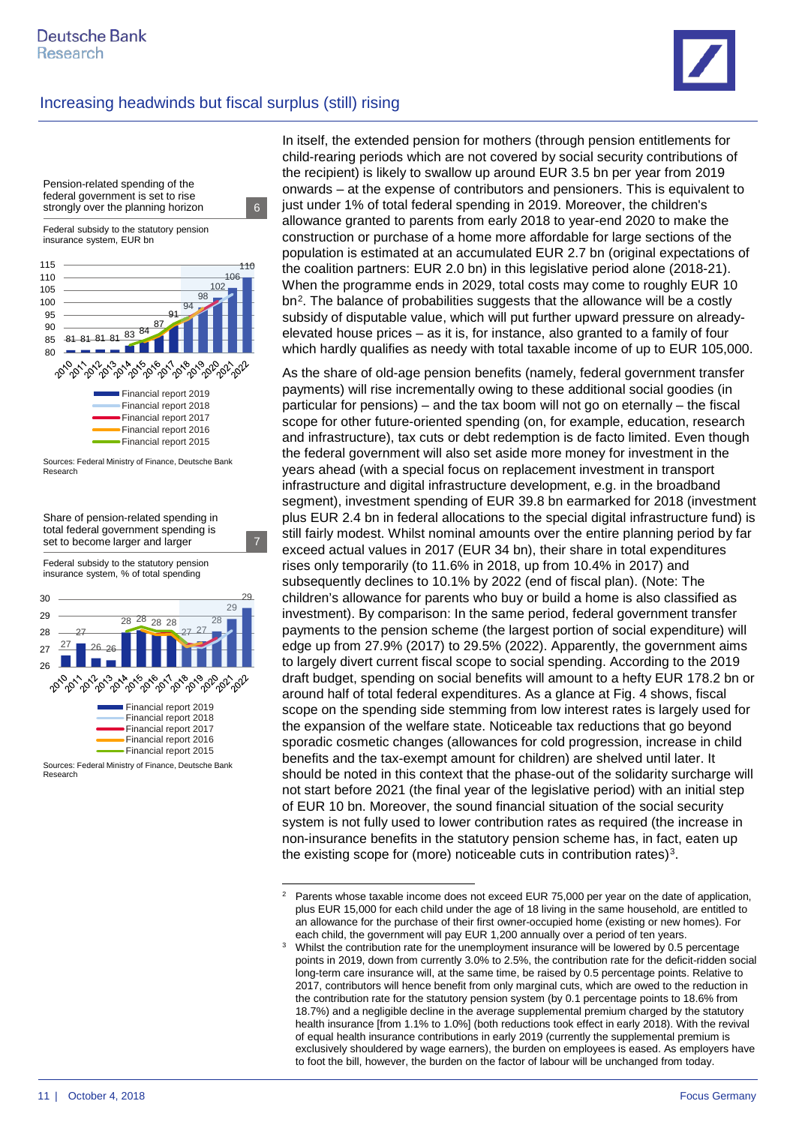

<span id="page-10-1"></span><span id="page-10-0"></span>Sources: Federal Ministry of Finance, Deutsche Bank Research

In itself, the extended pension for mothers (through pension entitlements for child-rearing periods which are not covered by social security contributions of the recipient) is likely to swallow up around EUR 3.5 bn per year from 2019 onwards – at the expense of contributors and pensioners. This is equivalent to just under 1% of total federal spending in 2019. Moreover, the children's allowance granted to parents from early 2018 to year-end 2020 to make the construction or purchase of a home more affordable for large sections of the population is estimated at an accumulated EUR 2.7 bn (original expectations of the coalition partners: EUR 2.0 bn) in this legislative period alone (2018-21). When the programme ends in 2029, total costs may come to roughly EUR 10 bn<sup>[2](#page-10-0)</sup>. The balance of probabilities suggests that the allowance will be a costly subsidy of disputable value, which will put further upward pressure on alreadyelevated house prices – as it is, for instance, also granted to a family of four which hardly qualifies as needy with total taxable income of up to EUR 105,000.

As the share of old-age pension benefits (namely, federal government transfer payments) will rise incrementally owing to these additional social goodies (in particular for pensions) – and the tax boom will not go on eternally – the fiscal scope for other future-oriented spending (on, for example, education, research and infrastructure), tax cuts or debt redemption is de facto limited. Even though the federal government will also set aside more money for investment in the years ahead (with a special focus on replacement investment in transport infrastructure and digital infrastructure development, e.g. in the broadband segment), investment spending of EUR 39.8 bn earmarked for 2018 (investment plus EUR 2.4 bn in federal allocations to the special digital infrastructure fund) is still fairly modest. Whilst nominal amounts over the entire planning period by far exceed actual values in 2017 (EUR 34 bn), their share in total expenditures rises only temporarily (to 11.6% in 2018, up from 10.4% in 2017) and subsequently declines to 10.1% by 2022 (end of fiscal plan). (Note: The children's allowance for parents who buy or build a home is also classified as investment). By comparison: In the same period, federal government transfer payments to the pension scheme (the largest portion of social expenditure) will edge up from 27.9% (2017) to 29.5% (2022). Apparently, the government aims to largely divert current fiscal scope to social spending. According to the 2019 draft budget, spending on social benefits will amount to a hefty EUR 178.2 bn or around half of total federal expenditures. As a glance at Fig. 4 shows, fiscal scope on the spending side stemming from low interest rates is largely used for the expansion of the welfare state. Noticeable tax reductions that go beyond sporadic cosmetic changes (allowances for cold progression, increase in child benefits and the tax-exempt amount for children) are shelved until later. It should be noted in this context that the phase-out of the solidarity surcharge will not start before 2021 (the final year of the legislative period) with an initial step of EUR 10 bn. Moreover, the sound financial situation of the social security system is not fully used to lower contribution rates as required (the increase in non-insurance benefits in the statutory pension scheme has, in fact, eaten up the existing scope for (more) noticeable cuts in contribution rates)<sup>3</sup>.

 $2^2$  Parents whose taxable income does not exceed EUR 75,000 per year on the date of application, plus EUR 15,000 for each child under the age of 18 living in the same household, are entitled to an allowance for the purchase of their first owner-occupied home (existing or new homes). For

each child, the government will pay EUR 1,200 annually over a period of ten years.<br>Whilst the contribution rate for the unemployment insurance will be lowered by 0.5 percentage points in 2019, down from currently 3.0% to 2.5%, the contribution rate for the deficit-ridden social long-term care insurance will, at the same time, be raised by 0.5 percentage points. Relative to 2017, contributors will hence benefit from only marginal cuts, which are owed to the reduction in the contribution rate for the statutory pension system (by 0.1 percentage points to 18.6% from 18.7%) and a negligible decline in the average supplemental premium charged by the statutory health insurance [from 1.1% to 1.0%] (both reductions took effect in early 2018). With the revival of equal health insurance contributions in early 2019 (currently the supplemental premium is exclusively shouldered by wage earners), the burden on employees is eased. As employers have to foot the bill, however, the burden on the factor of labour will be unchanged from today.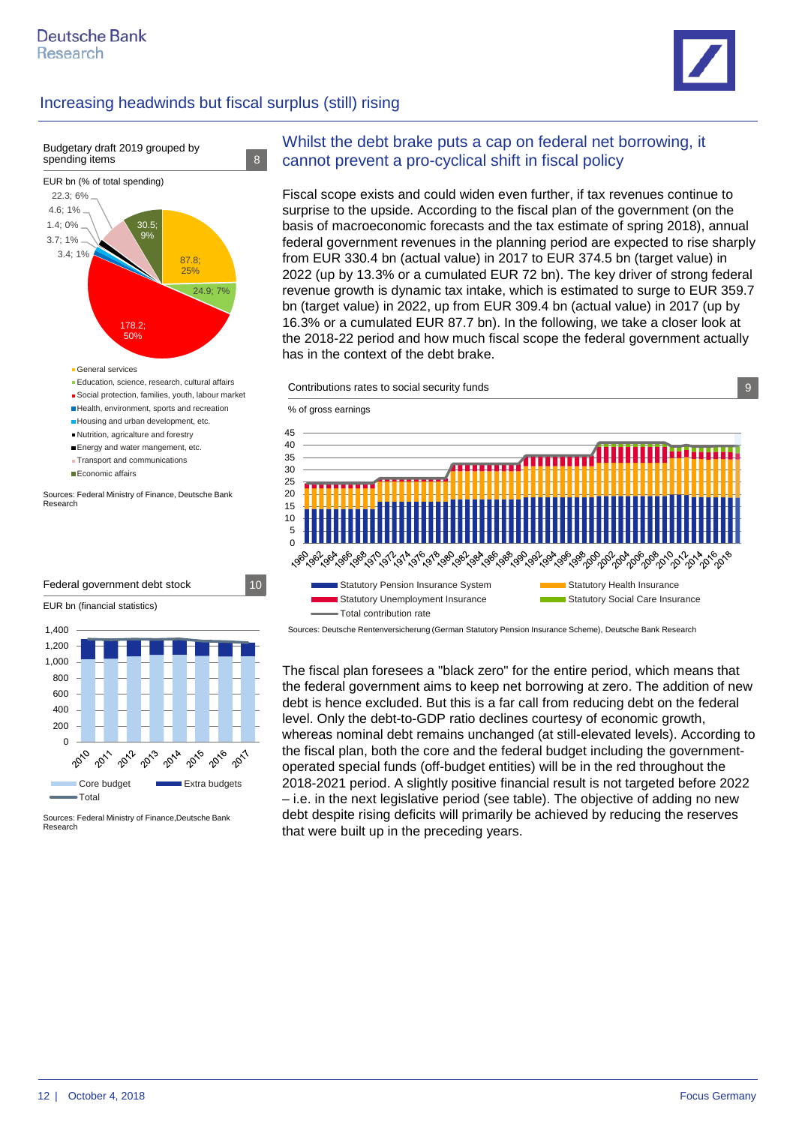



- Nutrition, agricalture and forestry
- Energy and water mangement, etc.
- **Transport and communications**
- Economic affairs

Sources: Federal Ministry of Finance, Deutsche Bank Research



Sources: Federal Ministry of Finance,Deutsche Bank Research

#### Whilst the debt brake puts a cap on federal net borrowing, it cannot prevent a pro-cyclical shift in fiscal policy

Fiscal scope exists and could widen even further, if tax revenues continue to surprise to the upside. According to the fiscal plan of the government (on the basis of macroeconomic forecasts and the tax estimate of spring 2018), annual federal government revenues in the planning period are expected to rise sharply from EUR 330.4 bn (actual value) in 2017 to EUR 374.5 bn (target value) in 2022 (up by 13.3% or a cumulated EUR 72 bn). The key driver of strong federal revenue growth is dynamic tax intake, which is estimated to surge to EUR 359.7 bn (target value) in 2022, up from EUR 309.4 bn (actual value) in 2017 (up by 16.3% or a cumulated EUR 87.7 bn). In the following, we take a closer look at the 2018-22 period and how much fiscal scope the federal government actually has in the context of the debt brake.





Sources: Deutsche Rentenversicherung (German Statutory Pension Insurance Scheme), Deutsche Bank Research

The fiscal plan foresees a "black zero" for the entire period, which means that the federal government aims to keep net borrowing at zero. The addition of new debt is hence excluded. But this is a far call from reducing debt on the federal level. Only the debt-to-GDP ratio declines courtesy of economic growth, whereas nominal debt remains unchanged (at still-elevated levels). According to the fiscal plan, both the core and the federal budget including the governmentoperated special funds (off-budget entities) will be in the red throughout the 2018-2021 period. A slightly positive financial result is not targeted before 2022 – i.e. in the next legislative period (see table). The objective of adding no new debt despite rising deficits will primarily be achieved by reducing the reserves that were built up in the preceding years.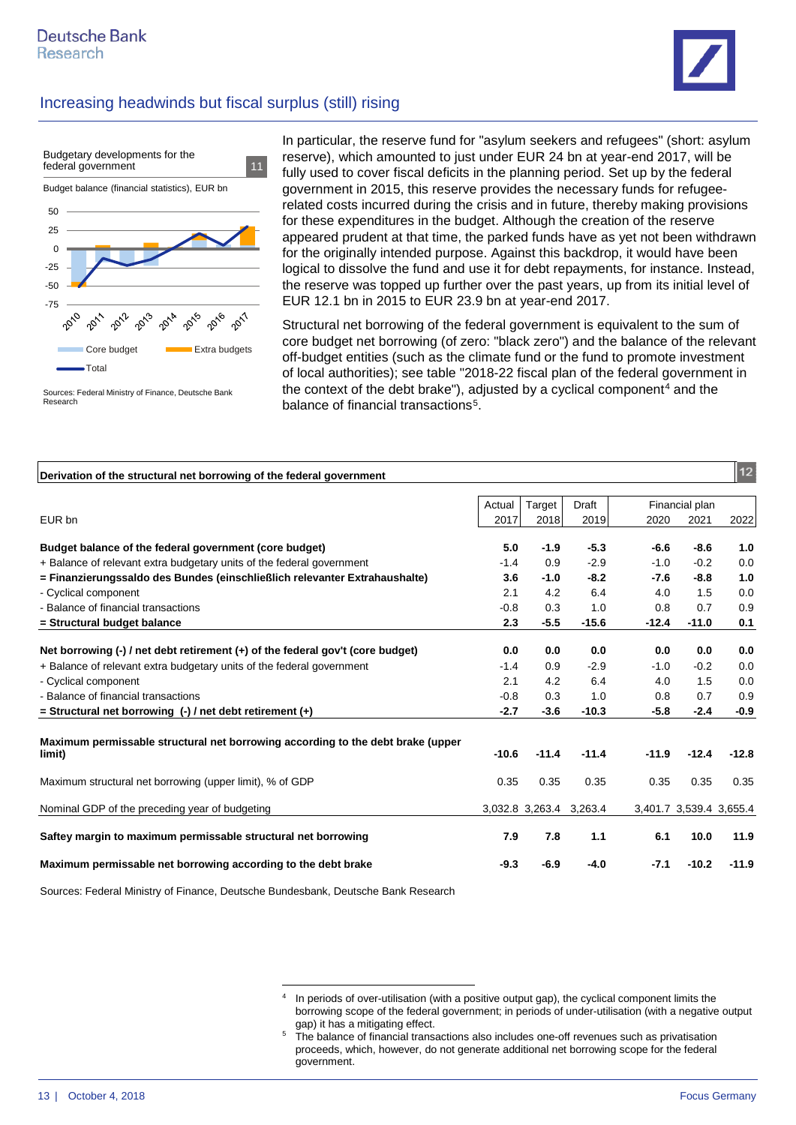



Sources: Federal Ministry of Finance, Deutsche Bank Research

In particular, the reserve fund for "asylum seekers and refugees" (short: asylum reserve), which amounted to just under EUR 24 bn at year-end 2017, will be fully used to cover fiscal deficits in the planning period. Set up by the federal government in 2015, this reserve provides the necessary funds for refugeerelated costs incurred during the crisis and in future, thereby making provisions for these expenditures in the budget. Although the creation of the reserve appeared prudent at that time, the parked funds have as yet not been withdrawn for the originally intended purpose. Against this backdrop, it would have been logical to dissolve the fund and use it for debt repayments, for instance. Instead, the reserve was topped up further over the past years, up from its initial level of EUR 12.1 bn in 2015 to EUR 23.9 bn at year-end 2017.

Structural net borrowing of the federal government is equivalent to the sum of core budget net borrowing (of zero: "black zero") and the balance of the relevant off-budget entities (such as the climate fund or the fund to promote investment of local authorities); see table "2018-22 fiscal plan of the federal government in the context of the debt brake"), adjusted by a cyclical component<sup>[4](#page-12-0)</sup> and the balance of financial transactions<sup>5</sup>.

| Derivation of the structural net borrowing of the federal government                                                   |         |                         |         |         |                         | 12      |
|------------------------------------------------------------------------------------------------------------------------|---------|-------------------------|---------|---------|-------------------------|---------|
|                                                                                                                        | Actual  | Target                  | Draft   |         | Financial plan          |         |
| EUR bn                                                                                                                 | 2017    | 2018                    | 2019    | 2020    | 2021                    | 2022    |
| Budget balance of the federal government (core budget)                                                                 | 5.0     | $-1.9$                  | $-5.3$  | $-6.6$  | $-8.6$                  | 1.0     |
| + Balance of relevant extra budgetary units of the federal government                                                  | $-1.4$  | 0.9                     | $-2.9$  | $-1.0$  | $-0.2$                  | 0.0     |
| = Finanzierungssaldo des Bundes (einschließlich relevanter Extrahaushalte)                                             | 3.6     | $-1.0$                  | $-8.2$  | $-7.6$  | $-8.8$                  | 1.0     |
| - Cyclical component                                                                                                   | 2.1     | 4.2                     | 6.4     | 4.0     | 1.5                     | 0.0     |
| - Balance of financial transactions                                                                                    | $-0.8$  | 0.3                     | 1.0     | 0.8     | 0.7                     | 0.9     |
| = Structural budget balance                                                                                            | 2.3     | $-5.5$                  | $-15.6$ | $-12.4$ | $-11.0$                 | 0.1     |
| Net borrowing $\left(\text{-}\right)$ / net debt retirement $\left(\text{+}\right)$ of the federal gov't (core budget) | 0.0     | 0.0                     | 0.0     | 0.0     | 0.0                     | 0.0     |
| + Balance of relevant extra budgetary units of the federal government                                                  | $-1.4$  | 0.9                     | $-2.9$  | $-1.0$  | $-0.2$                  | 0.0     |
| - Cyclical component                                                                                                   | 2.1     | 4.2                     | 6.4     | 4.0     | 1.5                     | 0.0     |
| - Balance of financial transactions                                                                                    | $-0.8$  | 0.3                     | 1.0     | 0.8     | 0.7                     | 0.9     |
| $=$ Structural net borrowing (-) / net debt retirement (+)                                                             | $-2.7$  | $-3.6$                  | $-10.3$ | $-5.8$  | $-2.4$                  | -0.9    |
| Maximum permissable structural net borrowing according to the debt brake (upper<br>limit)                              | $-10.6$ | $-11.4$                 | $-11.4$ | $-11.9$ | $-12.4$                 | $-12.8$ |
| Maximum structural net borrowing (upper limit), % of GDP                                                               | 0.35    | 0.35                    | 0.35    | 0.35    | 0.35                    | 0.35    |
| Nominal GDP of the preceding year of budgeting                                                                         |         | 3,032.8 3,263.4 3,263.4 |         |         | 3,401.7 3,539.4 3,655.4 |         |
| Saftey margin to maximum permissable structural net borrowing                                                          | 7.9     | 7.8                     | 1.1     | 6.1     | 10.0                    | 11.9    |
| Maximum permissable net borrowing according to the debt brake                                                          | $-9.3$  | $-6.9$                  | $-4.0$  | $-7.1$  | $-10.2$                 | $-11.9$ |

<span id="page-12-1"></span><span id="page-12-0"></span>Sources: Federal Ministry of Finance, Deutsche Bundesbank, Deutsche Bank Research

<sup>&</sup>lt;sup>4</sup> In periods of over-utilisation (with a positive output gap), the cyclical component limits the borrowing scope of the federal government; in periods of under-utilisation (with a negative output

<sup>&</sup>lt;sup>5</sup> The balance of financial transactions also includes one-off revenues such as privatisation proceeds, which, however, do not generate additional net borrowing scope for the federal government.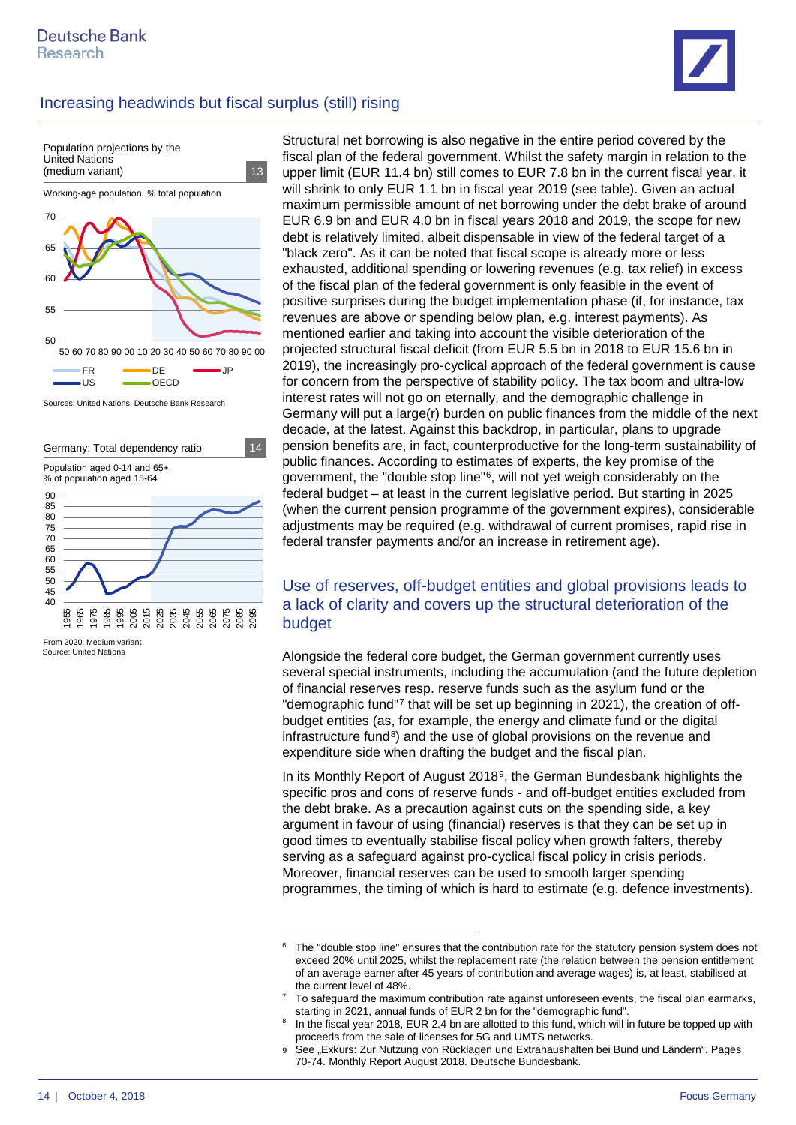



Sources: United Nations, Deutsche Bank Research



Source: United Nations From 2020: Medium variant

Structural net borrowing is also negative in the entire period covered by the fiscal plan of the federal government. Whilst the safety margin in relation to the upper limit (EUR 11.4 bn) still comes to EUR 7.8 bn in the current fiscal year, it will shrink to only EUR 1.1 bn in fiscal year 2019 (see table). Given an actual maximum permissible amount of net borrowing under the debt brake of around EUR 6.9 bn and EUR 4.0 bn in fiscal years 2018 and 2019, the scope for new debt is relatively limited, albeit dispensable in view of the federal target of a "black zero". As it can be noted that fiscal scope is already more or less exhausted, additional spending or lowering revenues (e.g. tax relief) in excess of the fiscal plan of the federal government is only feasible in the event of positive surprises during the budget implementation phase (if, for instance, tax revenues are above or spending below plan, e.g. interest payments). As mentioned earlier and taking into account the visible deterioration of the projected structural fiscal deficit (from EUR 5.5 bn in 2018 to EUR 15.6 bn in 2019), the increasingly pro-cyclical approach of the federal government is cause for concern from the perspective of stability policy. The tax boom and ultra-low interest rates will not go on eternally, and the demographic challenge in Germany will put a large(r) burden on public finances from the middle of the next decade, at the latest. Against this backdrop, in particular, plans to upgrade pension benefits are, in fact, counterproductive for the long-term sustainability of public finances. According to estimates of experts, the key promise of the government, the "double stop line"[6](#page-13-0), will not yet weigh considerably on the federal budget – at least in the current legislative period. But starting in 2025 (when the current pension programme of the government expires), considerable adjustments may be required (e.g. withdrawal of current promises, rapid rise in federal transfer payments and/or an increase in retirement age).

#### Use of reserves, off-budget entities and global provisions leads to a lack of clarity and covers up the structural deterioration of the budget

Alongside the federal core budget, the German government currently uses several special instruments, including the accumulation (and the future depletion of financial reserves resp. reserve funds such as the asylum fund or the "demographic fund"[7](#page-13-1) that will be set up beginning in 2021), the creation of offbudget entities (as, for example, the energy and climate fund or the digital infrastructure fund<sup>8</sup>) and the use of global provisions on the revenue and expenditure side when drafting the budget and the fiscal plan.

In its Monthly Report of August 2018[9](#page-13-3), the German Bundesbank highlights the specific pros and cons of reserve funds - and off-budget entities excluded from the debt brake. As a precaution against cuts on the spending side, a key argument in favour of using (financial) reserves is that they can be set up in good times to eventually stabilise fiscal policy when growth falters, thereby serving as a safeguard against pro-cyclical fiscal policy in crisis periods. Moreover, financial reserves can be used to smooth larger spending programmes, the timing of which is hard to estimate (e.g. defence investments).

<span id="page-13-0"></span><sup>&</sup>lt;sup>6</sup> The "double stop line" ensures that the contribution rate for the statutory pension system does not exceed 20% until 2025, whilst the replacement rate (the relation between the pension entitlement of an average earner after 45 years of contribution and average wages) is, at least, stabilised at the current level of 48%.

<span id="page-13-1"></span><sup>7</sup> To safeguard the maximum contribution rate against unforeseen events, the fiscal plan earmarks, starting in 2021, annual funds of EUR 2 bn for the "demographic fund".

<span id="page-13-2"></span><sup>&</sup>lt;sup>8</sup> In the fiscal year 2018, EUR 2.4 bn are allotted to this fund, which will in future be topped up with proceeds from the sale of licenses for 5G and UMTS networks.

<span id="page-13-3"></span><sup>9</sup> See "Exkurs: Zur Nutzung von Rücklagen und Extrahaushalten bei Bund und Ländern". Pages 70-74. Monthly Report August 2018. Deutsche Bundesbank.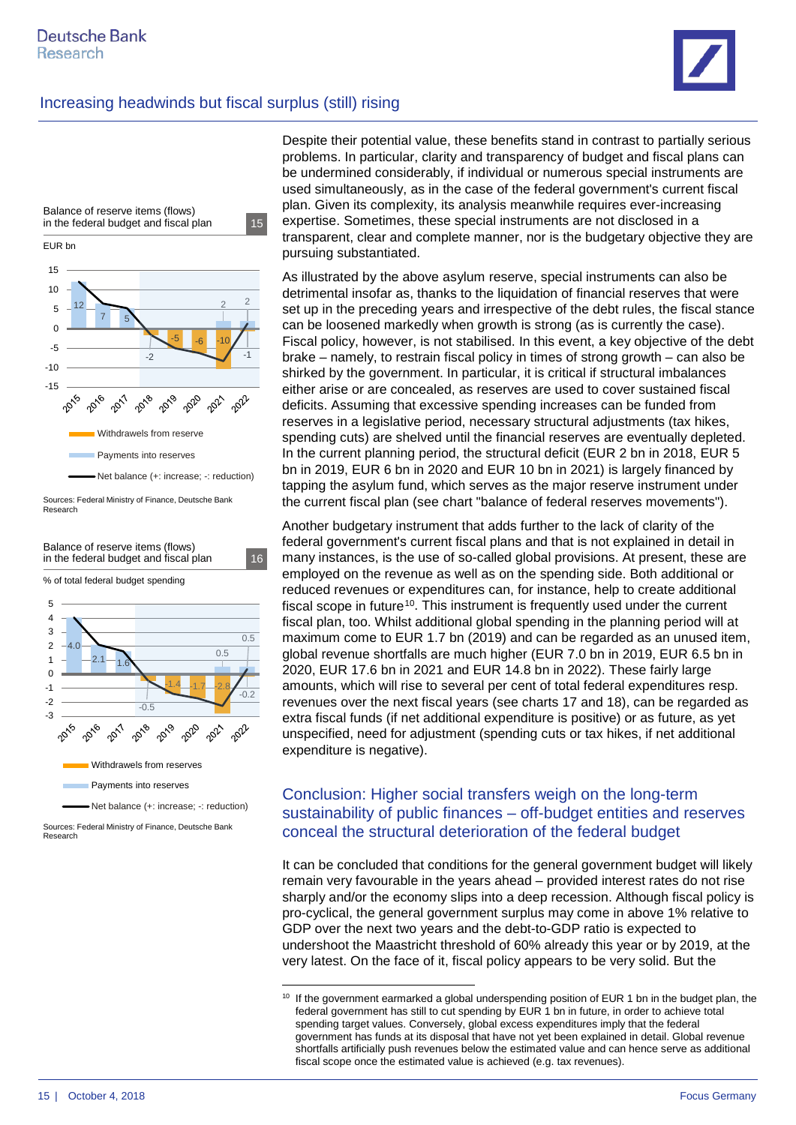

Sources: Federal Ministry of Finance, Deutsche Bank Research



Despite their potential value, these benefits stand in contrast to partially serious problems. In particular, clarity and transparency of budget and fiscal plans can be undermined considerably, if individual or numerous special instruments are used simultaneously, as in the case of the federal government's current fiscal plan. Given its complexity, its analysis meanwhile requires ever-increasing expertise. Sometimes, these special instruments are not disclosed in a transparent, clear and complete manner, nor is the budgetary objective they are pursuing substantiated.

As illustrated by the above asylum reserve, special instruments can also be detrimental insofar as, thanks to the liquidation of financial reserves that were set up in the preceding years and irrespective of the debt rules, the fiscal stance can be loosened markedly when growth is strong (as is currently the case). Fiscal policy, however, is not stabilised. In this event, a key objective of the debt brake – namely, to restrain fiscal policy in times of strong growth – can also be shirked by the government. In particular, it is critical if structural imbalances either arise or are concealed, as reserves are used to cover sustained fiscal deficits. Assuming that excessive spending increases can be funded from reserves in a legislative period, necessary structural adjustments (tax hikes, spending cuts) are shelved until the financial reserves are eventually depleted. In the current planning period, the structural deficit (EUR 2 bn in 2018, EUR 5 bn in 2019, EUR 6 bn in 2020 and EUR 10 bn in 2021) is largely financed by tapping the asylum fund, which serves as the major reserve instrument under the current fiscal plan (see chart "balance of federal reserves movements").

Another budgetary instrument that adds further to the lack of clarity of the federal government's current fiscal plans and that is not explained in detail in many instances, is the use of so-called global provisions. At present, these are employed on the revenue as well as on the spending side. Both additional or reduced revenues or expenditures can, for instance, help to create additional fiscal scope in future<sup>[10](#page-14-0)</sup>. This instrument is frequently used under the current fiscal plan, too. Whilst additional global spending in the planning period will at maximum come to EUR 1.7 bn (2019) and can be regarded as an unused item, global revenue shortfalls are much higher (EUR 7.0 bn in 2019, EUR 6.5 bn in 2020, EUR 17.6 bn in 2021 and EUR 14.8 bn in 2022). These fairly large amounts, which will rise to several per cent of total federal expenditures resp. revenues over the next fiscal years (see charts 17 and 18), can be regarded as extra fiscal funds (if net additional expenditure is positive) or as future, as yet unspecified, need for adjustment (spending cuts or tax hikes, if net additional expenditure is negative).

#### Conclusion: Higher social transfers weigh on the long-term sustainability of public finances – off-budget entities and reserves conceal the structural deterioration of the federal budget

It can be concluded that conditions for the general government budget will likely remain very favourable in the years ahead – provided interest rates do not rise sharply and/or the economy slips into a deep recession. Although fiscal policy is pro-cyclical, the general government surplus may come in above 1% relative to GDP over the next two years and the debt-to-GDP ratio is expected to undershoot the Maastricht threshold of 60% already this year or by 2019, at the very latest. On the face of it, fiscal policy appears to be very solid. But the



<span id="page-14-0"></span><sup>&</sup>lt;sup>10</sup> If the government earmarked a global underspending position of EUR 1 bn in the budget plan, the federal government has still to cut spending by EUR 1 bn in future, in order to achieve total spending target values. Conversely, global excess expenditures imply that the federal government has funds at its disposal that have not yet been explained in detail. Global revenue shortfalls artificially push revenues below the estimated value and can hence serve as additional fiscal scope once the estimated value is achieved (e.g. tax revenues).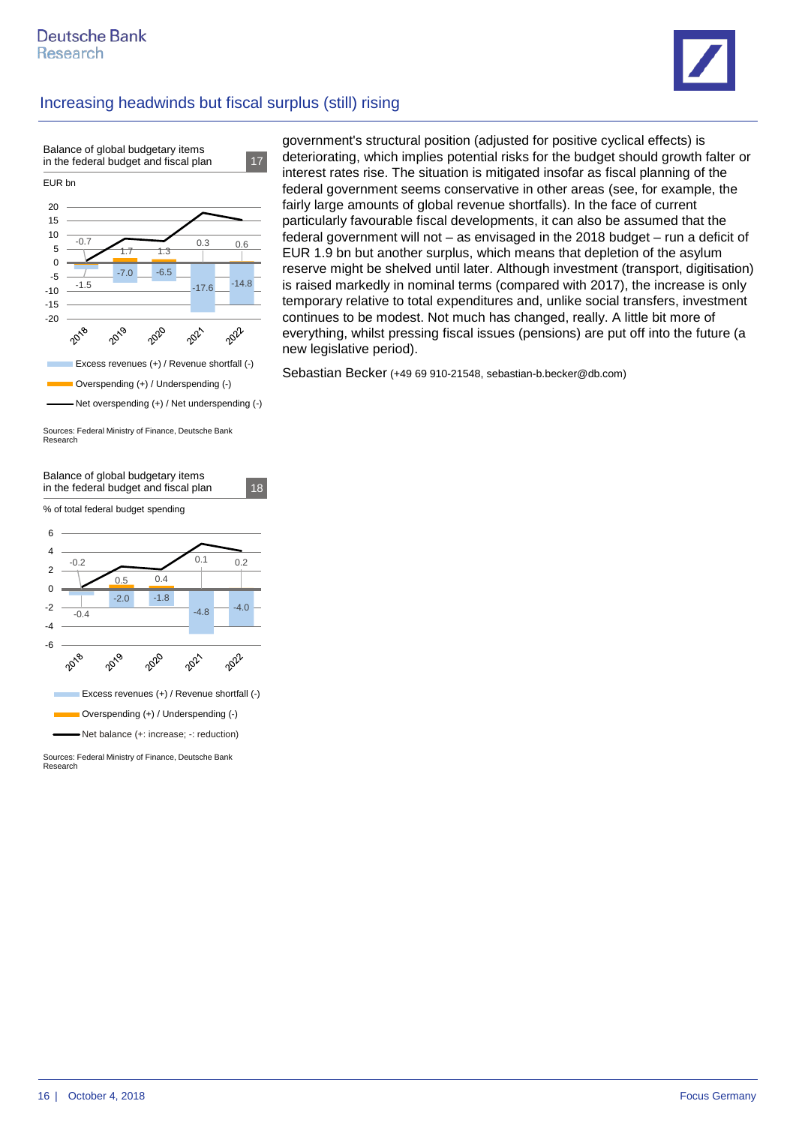



Sources: Federal Ministry of Finance, Deutsche Bank Research



Sources: Federal Ministry of Finance, Deutsche Bank Research

government's structural position (adjusted for positive cyclical effects) is deteriorating, which implies potential risks for the budget should growth falter or interest rates rise. The situation is mitigated insofar as fiscal planning of the federal government seems conservative in other areas (see, for example, the fairly large amounts of global revenue shortfalls). In the face of current particularly favourable fiscal developments, it can also be assumed that the federal government will not – as envisaged in the 2018 budget – run a deficit of EUR 1.9 bn but another surplus, which means that depletion of the asylum reserve might be shelved until later. Although investment (transport, digitisation) is raised markedly in nominal terms (compared with 2017), the increase is only temporary relative to total expenditures and, unlike social transfers, investment continues to be modest. Not much has changed, really. A little bit more of everything, whilst pressing fiscal issues (pensions) are put off into the future (a new legislative period).

Sebastian Becker (+49 69 910-21548, sebastian-b.becker@db.com)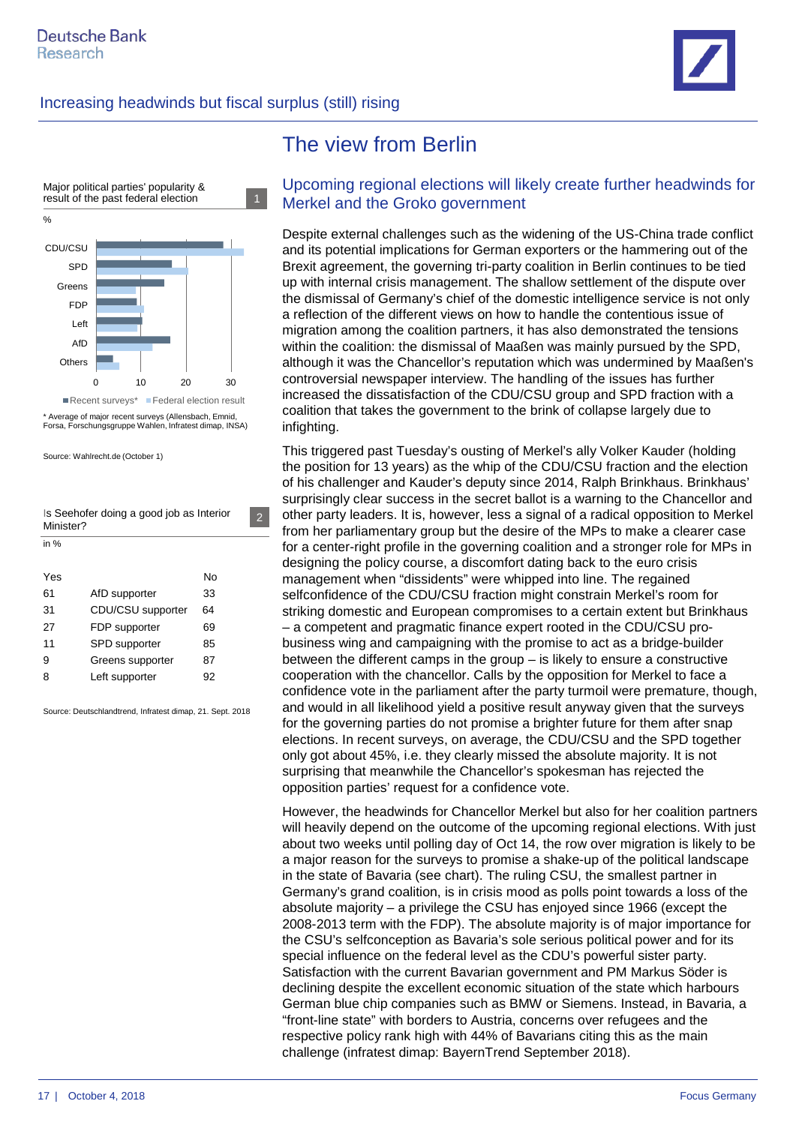



Average of major recent surveys (Allensbach, Emnid Forsa, Forschungsgruppe Wahlen, Infratest dimap, INSA)

Source: Wahlrecht.de (October 1)

Is Seehofer doing a good job as Interior Minister? in %

2

| Yes |                   | N٥ |
|-----|-------------------|----|
| 61  | AfD supporter     | 33 |
| 31  | CDU/CSU supporter | 64 |
| 27  | FDP supporter     | 69 |
| 11  | SPD supporter     | 85 |
| 9   | Greens supporter  | 87 |
| 8   | Left supporter    | 92 |
|     |                   |    |

Source: Deutschlandtrend, Infratest dimap, 21. Sept. 2018

# The view from Berlin

#### Upcoming regional elections will likely create further headwinds for Merkel and the Groko government

Despite external challenges such as the widening of the US-China trade conflict and its potential implications for German exporters or the hammering out of the Brexit agreement, the governing tri-party coalition in Berlin continues to be tied up with internal crisis management. The shallow settlement of the dispute over the dismissal of Germany's chief of the domestic intelligence service is not only a reflection of the different views on how to handle the contentious issue of migration among the coalition partners, it has also demonstrated the tensions within the coalition: the dismissal of Maaßen was mainly pursued by the SPD, although it was the Chancellor's reputation which was undermined by Maaßen's controversial newspaper interview. The handling of the issues has further increased the dissatisfaction of the CDU/CSU group and SPD fraction with a coalition that takes the government to the brink of collapse largely due to infighting.

This triggered past Tuesday's ousting of Merkel's ally Volker Kauder (holding the position for 13 years) as the whip of the CDU/CSU fraction and the election of his challenger and Kauder's deputy since 2014, Ralph Brinkhaus. Brinkhaus' surprisingly clear success in the secret ballot is a warning to the Chancellor and other party leaders. It is, however, less a signal of a radical opposition to Merkel from her parliamentary group but the desire of the MPs to make a clearer case for a center-right profile in the governing coalition and a stronger role for MPs in designing the policy course, a discomfort dating back to the euro crisis management when "dissidents" were whipped into line. The regained selfconfidence of the CDU/CSU fraction might constrain Merkel's room for striking domestic and European compromises to a certain extent but Brinkhaus – a competent and pragmatic finance expert rooted in the CDU/CSU probusiness wing and campaigning with the promise to act as a bridge-builder between the different camps in the group – is likely to ensure a constructive cooperation with the chancellor. Calls by the opposition for Merkel to face a confidence vote in the parliament after the party turmoil were premature, though, and would in all likelihood yield a positive result anyway given that the surveys for the governing parties do not promise a brighter future for them after snap elections. In recent surveys, on average, the CDU/CSU and the SPD together only got about 45%, i.e. they clearly missed the absolute majority. It is not surprising that meanwhile the Chancellor's spokesman has rejected the opposition parties' request for a confidence vote.

However, the headwinds for Chancellor Merkel but also for her coalition partners will heavily depend on the outcome of the upcoming regional elections. With just about two weeks until polling day of Oct 14, the row over migration is likely to be a major reason for the surveys to promise a shake-up of the political landscape in the state of Bavaria (see chart). The ruling CSU, the smallest partner in Germany's grand coalition, is in crisis mood as polls point towards a loss of the absolute majority – a privilege the CSU has enjoyed since 1966 (except the 2008-2013 term with the FDP). The absolute majority is of major importance for the CSU's selfconception as Bavaria's sole serious political power and for its special influence on the federal level as the CDU's powerful sister party. Satisfaction with the current Bavarian government and PM Markus Söder is declining despite the excellent economic situation of the state which harbours German blue chip companies such as BMW or Siemens. Instead, in Bavaria, a "front-line state" with borders to Austria, concerns over refugees and the respective policy rank high with 44% of Bavarians citing this as the main challenge (infratest dimap: BayernTrend September 2018).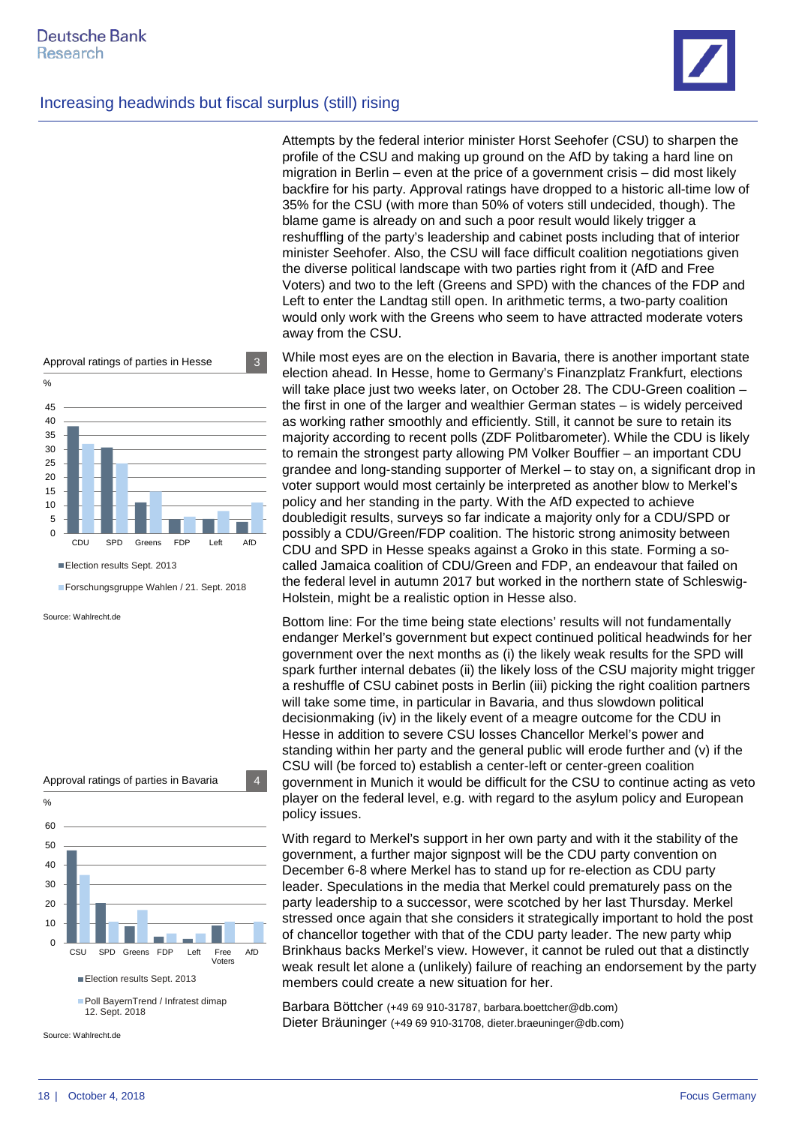

Attempts by the federal interior minister Horst Seehofer (CSU) to sharpen the profile of the CSU and making up ground on the AfD by taking a hard line on migration in Berlin – even at the price of a government crisis – did most likely backfire for his party. Approval ratings have dropped to a historic all-time low of 35% for the CSU (with more than 50% of voters still undecided, though). The blame game is already on and such a poor result would likely trigger a reshuffling of the party's leadership and cabinet posts including that of interior minister Seehofer. Also, the CSU will face difficult coalition negotiations given the diverse political landscape with two parties right from it (AfD and Free Voters) and two to the left (Greens and SPD) with the chances of the FDP and Left to enter the Landtag still open. In arithmetic terms, a two-party coalition would only work with the Greens who seem to have attracted moderate voters away from the CSU.

 $\Omega$ 5 10 15 20 25 30 35 40 45 CDU SPD Greens FDP Left AfD Election results Sept. 2013 Forschungsgruppe Wahlen / 21. Sept. 2018 Approval ratings of parties in Hesse 3 %

Source: Wahlrecht.de



Source: Wahlrecht.de

While most eyes are on the election in Bavaria, there is another important state election ahead. In Hesse, home to Germany's Finanzplatz Frankfurt, elections will take place just two weeks later, on October 28. The CDU-Green coalition – the first in one of the larger and wealthier German states – is widely perceived as working rather smoothly and efficiently. Still, it cannot be sure to retain its majority according to recent polls (ZDF Politbarometer). While the CDU is likely to remain the strongest party allowing PM Volker Bouffier – an important CDU grandee and long-standing supporter of Merkel – to stay on, a significant drop in voter support would most certainly be interpreted as another blow to Merkel's policy and her standing in the party. With the AfD expected to achieve doubledigit results, surveys so far indicate a majority only for a CDU/SPD or possibly a CDU/Green/FDP coalition. The historic strong animosity between CDU and SPD in Hesse speaks against a Groko in this state. Forming a socalled Jamaica coalition of CDU/Green and FDP, an endeavour that failed on the federal level in autumn 2017 but worked in the northern state of Schleswig-Holstein, might be a realistic option in Hesse also.

Bottom line: For the time being state elections' results will not fundamentally endanger Merkel's government but expect continued political headwinds for her government over the next months as (i) the likely weak results for the SPD will spark further internal debates (ii) the likely loss of the CSU majority might trigger a reshuffle of CSU cabinet posts in Berlin (iii) picking the right coalition partners will take some time, in particular in Bavaria, and thus slowdown political decisionmaking (iv) in the likely event of a meagre outcome for the CDU in Hesse in addition to severe CSU losses Chancellor Merkel's power and standing within her party and the general public will erode further and (v) if the CSU will (be forced to) establish a center-left or center-green coalition government in Munich it would be difficult for the CSU to continue acting as veto player on the federal level, e.g. with regard to the asylum policy and European policy issues.

With regard to Merkel's support in her own party and with it the stability of the government, a further major signpost will be the CDU party convention on December 6-8 where Merkel has to stand up for re-election as CDU party leader. Speculations in the media that Merkel could prematurely pass on the party leadership to a successor, were scotched by her last Thursday. Merkel stressed once again that she considers it strategically important to hold the post of chancellor together with that of the CDU party leader. The new party whip Brinkhaus backs Merkel's view. However, it cannot be ruled out that a distinctly weak result let alone a (unlikely) failure of reaching an endorsement by the party members could create a new situation for her.

Barbara Böttcher (+49 69 910-31787, barbara.boettcher@db.com) Dieter Bräuninger (+49 69 910-31708, dieter.braeuninger@db.com)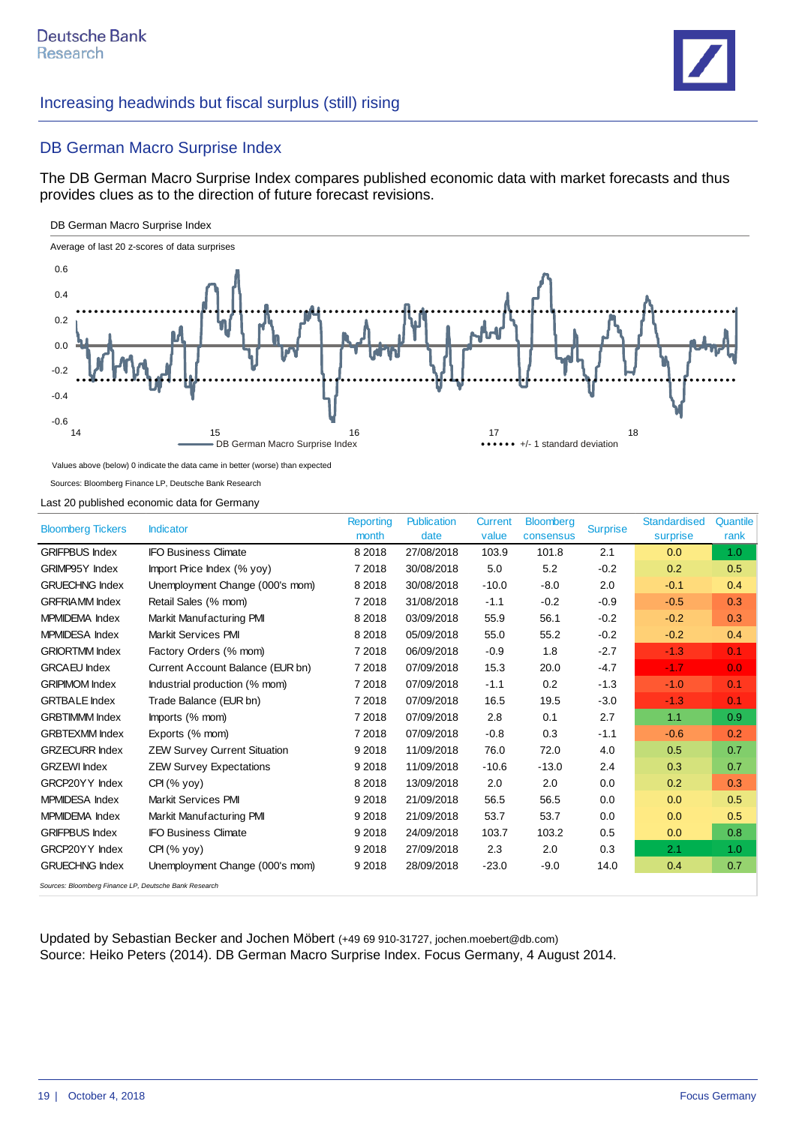

#### DB German Macro Surprise Index

The DB German Macro Surprise Index compares published economic data with market forecasts and thus provides clues as to the direction of future forecast revisions.

#### DB German Macro Surprise Index



Values above (below) 0 indicate the data came in better (worse) than expected

Sources: Bloomberg Finance LP, Deutsche Bank Research

Last 20 published economic data for Germany

| <b>Bloomberg Tickers</b>                              | <b>Indicator</b>                    | <b>Reporting</b><br>month | <b>Publication</b><br>date | <b>Current</b><br>value | <b>Bloomberg</b><br>consensus | <b>Surprise</b> | <b>Standardised</b><br>surprise | Quantile<br>rank |
|-------------------------------------------------------|-------------------------------------|---------------------------|----------------------------|-------------------------|-------------------------------|-----------------|---------------------------------|------------------|
| <b>GRIFPBUS Index</b>                                 | <b>IFO Business Climate</b>         | 8 2 0 1 8                 | 27/08/2018                 | 103.9                   | 101.8                         | 2.1             | 0.0                             | 1.0              |
| <b>GRIMP95Y Index</b>                                 | Import Price Index (% yoy)          | 7 2018                    | 30/08/2018                 | 5.0                     | 5.2                           | $-0.2$          | 0.2                             | 0.5              |
| <b>GRUECHNG Index</b>                                 | Unemployment Change (000's mom)     | 8 2 0 1 8                 | 30/08/2018                 | $-10.0$                 | $-8.0$                        | 2.0             | $-0.1$                          | 0.4              |
| <b>GRFRIAMM</b> Index                                 | Retail Sales (% mom)                | 7 2018                    | 31/08/2018                 | $-1.1$                  | $-0.2$                        | $-0.9$          | $-0.5$                          | 0.3              |
| MPMIDEMA Index                                        | Markit Manufacturing PMI            | 8 2 0 1 8                 | 03/09/2018                 | 55.9                    | 56.1                          | $-0.2$          | $-0.2$                          | 0.3              |
| <b>MPMIDESA</b> Index                                 | <b>Markit Services PMI</b>          | 8 2 0 1 8                 | 05/09/2018                 | 55.0                    | 55.2                          | $-0.2$          | $-0.2$                          | 0.4              |
| <b>GRIORTMM Index</b>                                 | Factory Orders (% mom)              | 7 2018                    | 06/09/2018                 | $-0.9$                  | 1.8                           | $-2.7$          | $-1.3$                          | 0.1              |
| <b>GRCAEU</b> Index                                   | Current Account Balance (EUR bn)    | 7 2018                    | 07/09/2018                 | 15.3                    | 20.0                          | $-4.7$          | $-1.7$                          | 0.0              |
| <b>GRIPIMOM Index</b>                                 | Industrial production (% mom)       | 7 2018                    | 07/09/2018                 | $-1.1$                  | 0.2                           | $-1.3$          | $-1.0$                          | 0.1              |
| <b>GRTBALE</b> Index                                  | Trade Balance (EUR bn)              | 7 2018                    | 07/09/2018                 | 16.5                    | 19.5                          | $-3.0$          | $-1.3$                          | 0.1              |
| <b>GRBTIMMM Index</b>                                 | Imports (% mom)                     | 7 2018                    | 07/09/2018                 | 2.8                     | 0.1                           | 2.7             | 1.1                             | 0.9              |
| <b>GRBTEXMM</b> Index                                 | Exports (% mom)                     | 7 2018                    | 07/09/2018                 | $-0.8$                  | 0.3                           | $-1.1$          | $-0.6$                          | 0.2              |
| <b>GRZECURR Index</b>                                 | <b>ZEW Survey Current Situation</b> | 9 2 0 1 8                 | 11/09/2018                 | 76.0                    | 72.0                          | 4.0             | 0.5                             | 0.7              |
| <b>GRZEWI</b> Index                                   | <b>ZEW Survey Expectations</b>      | 9 2018                    | 11/09/2018                 | $-10.6$                 | $-13.0$                       | 2.4             | 0.3                             | 0.7              |
| GRCP20YY Index                                        | $CH(\%$ yoy)                        | 8 2 0 1 8                 | 13/09/2018                 | 2.0                     | 2.0                           | 0.0             | 0.2                             | 0.3              |
| <b>MPMIDESA</b> Index                                 | <b>Markit Services PMI</b>          | 9 2018                    | 21/09/2018                 | 56.5                    | 56.5                          | 0.0             | 0.0                             | 0.5              |
| MPMIDEMA Index                                        | Markit Manufacturing PMI            | 9 2018                    | 21/09/2018                 | 53.7                    | 53.7                          | 0.0             | 0.0                             | 0.5              |
| <b>GRIFPBUS Index</b>                                 | <b>IFO Business Climate</b>         | 9 2 0 1 8                 | 24/09/2018                 | 103.7                   | 103.2                         | 0.5             | 0.0                             | 0.8              |
| GRCP20YY Index                                        | CH (% vov)                          | 9 2018                    | 27/09/2018                 | 2.3                     | 2.0                           | 0.3             | 2.1                             | 1.0              |
| <b>GRUECHNG Index</b>                                 | Unemployment Change (000's mom)     | 9 2 0 1 8                 | 28/09/2018                 | $-23.0$                 | $-9.0$                        | 14.0            | 0.4                             | 0.7              |
| Sources: Bloomberg Finance LP, Deutsche Bank Research |                                     |                           |                            |                         |                               |                 |                                 |                  |

Updated by Sebastian Becker and Jochen Möbert (+49 69 910-31727, jochen.moebert@db.com) Source: Heiko Peters (2014). DB German Macro Surprise Index. Focus Germany, 4 August 2014.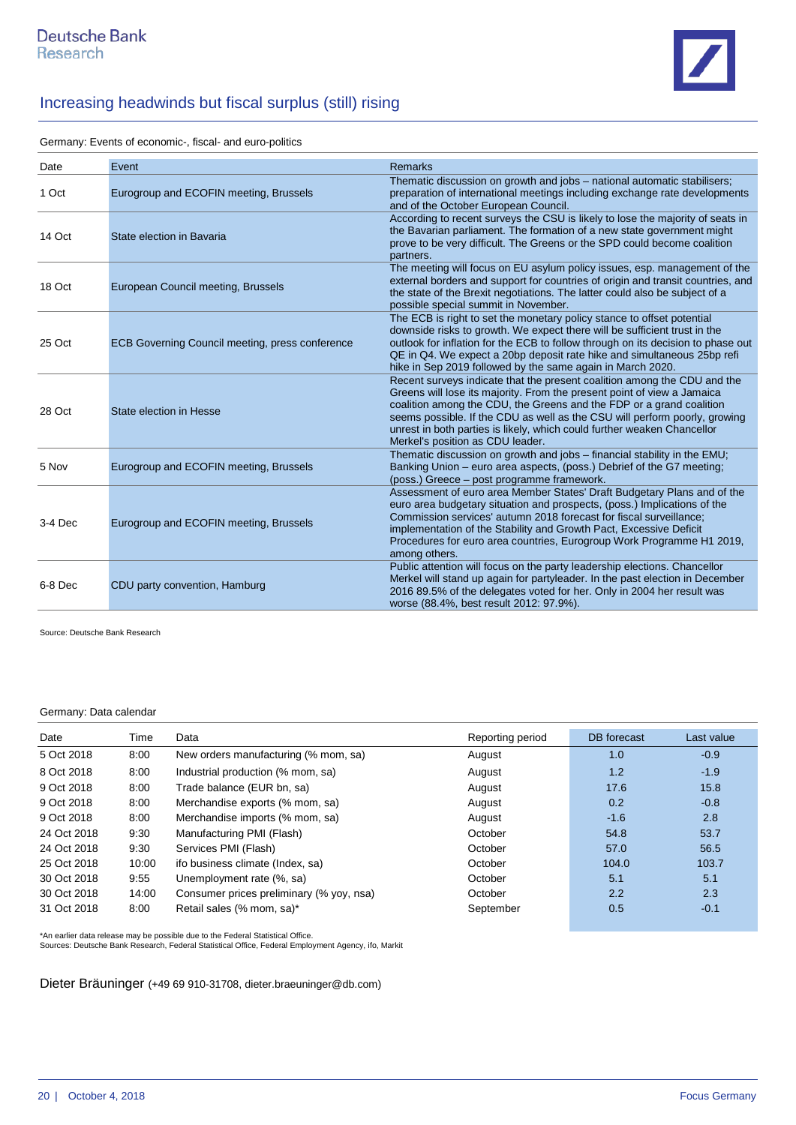

Germany: Events of economic-, fiscal- and euro-politics

| Date    | Event                                           | <b>Remarks</b>                                                                                                                                                                                                                                                                                                                                                                                                           |
|---------|-------------------------------------------------|--------------------------------------------------------------------------------------------------------------------------------------------------------------------------------------------------------------------------------------------------------------------------------------------------------------------------------------------------------------------------------------------------------------------------|
| 1 Oct   | Eurogroup and ECOFIN meeting, Brussels          | Thematic discussion on growth and jobs - national automatic stabilisers;<br>preparation of international meetings including exchange rate developments<br>and of the October European Council.                                                                                                                                                                                                                           |
| 14 Oct  | State election in Bavaria                       | According to recent surveys the CSU is likely to lose the majority of seats in<br>the Bavarian parliament. The formation of a new state government might<br>prove to be very difficult. The Greens or the SPD could become coalition<br>partners.                                                                                                                                                                        |
| 18 Oct  | European Council meeting, Brussels              | The meeting will focus on EU asylum policy issues, esp. management of the<br>external borders and support for countries of origin and transit countries, and<br>the state of the Brexit negotiations. The latter could also be subject of a<br>possible special summit in November.                                                                                                                                      |
| 25 Oct  | ECB Governing Council meeting, press conference | The ECB is right to set the monetary policy stance to offset potential<br>downside risks to growth. We expect there will be sufficient trust in the<br>outlook for inflation for the ECB to follow through on its decision to phase out<br>QE in Q4. We expect a 20bp deposit rate hike and simultaneous 25bp refi<br>hike in Sep 2019 followed by the same again in March 2020.                                         |
| 28 Oct  | State election in Hesse                         | Recent surveys indicate that the present coalition among the CDU and the<br>Greens will lose its majority. From the present point of view a Jamaica<br>coalition among the CDU, the Greens and the FDP or a grand coalition<br>seems possible. If the CDU as well as the CSU will perform poorly, growing<br>unrest in both parties is likely, which could further weaken Chancellor<br>Merkel's position as CDU leader. |
| 5 Nov   | Eurogroup and ECOFIN meeting, Brussels          | Thematic discussion on growth and jobs - financial stability in the EMU;<br>Banking Union – euro area aspects, (poss.) Debrief of the G7 meeting;<br>(poss.) Greece - post programme framework.                                                                                                                                                                                                                          |
| 3-4 Dec | Eurogroup and ECOFIN meeting, Brussels          | Assessment of euro area Member States' Draft Budgetary Plans and of the<br>euro area budgetary situation and prospects, (poss.) Implications of the<br>Commission services' autumn 2018 forecast for fiscal surveillance;<br>implementation of the Stability and Growth Pact, Excessive Deficit<br>Procedures for euro area countries, Eurogroup Work Programme H1 2019,<br>among others.                                |
| 6-8 Dec | CDU party convention, Hamburg                   | Public attention will focus on the party leadership elections. Chancellor<br>Merkel will stand up again for partyleader. In the past election in December<br>2016 89.5% of the delegates voted for her. Only in 2004 her result was<br>worse (88.4%, best result 2012: 97.9%).                                                                                                                                           |

Source: Deutsche Bank Research

#### Germany: Data calendar

| Date        | Time  | Data                                     | Reporting period | DB forecast | Last value |
|-------------|-------|------------------------------------------|------------------|-------------|------------|
| 5 Oct 2018  | 8:00  | New orders manufacturing (% mom, sa)     | August           | 1.0         | $-0.9$     |
| 8 Oct 2018  | 8:00  | Industrial production (% mom, sa)        | August           | 1.2         | $-1.9$     |
| 9 Oct 2018  | 8:00  | Trade balance (EUR bn, sa)               | August           | 17.6        | 15.8       |
| 9 Oct 2018  | 8:00  | Merchandise exports (% mom, sa)          | August           | 0.2         | $-0.8$     |
| 9 Oct 2018  | 8:00  | Merchandise imports (% mom, sa)          | August           | $-1.6$      | 2.8        |
| 24 Oct 2018 | 9:30  | Manufacturing PMI (Flash)                | October          | 54.8        | 53.7       |
| 24 Oct 2018 | 9:30  | Services PMI (Flash)                     | October          | 57.0        | 56.5       |
| 25 Oct 2018 | 10:00 | ifo business climate (Index, sa)         | October          | 104.0       | 103.7      |
| 30 Oct 2018 | 9:55  | Unemployment rate (%, sa)                | October          | 5.1         | 5.1        |
| 30 Oct 2018 | 14:00 | Consumer prices preliminary (% yoy, nsa) | October          | 2.2         | 2.3        |
| 31 Oct 2018 | 8:00  | Retail sales (% mom, sa)*                | September        | 0.5         | $-0.1$     |

\*An earlier data release may be possible due to the Federal Statistical Office. Sources: Deutsche Bank Research, Federal Statistical Office, Federal Employment Agency, ifo, Markit

Dieter Bräuninger (+49 69 910-31708, dieter.braeuninger@db.com)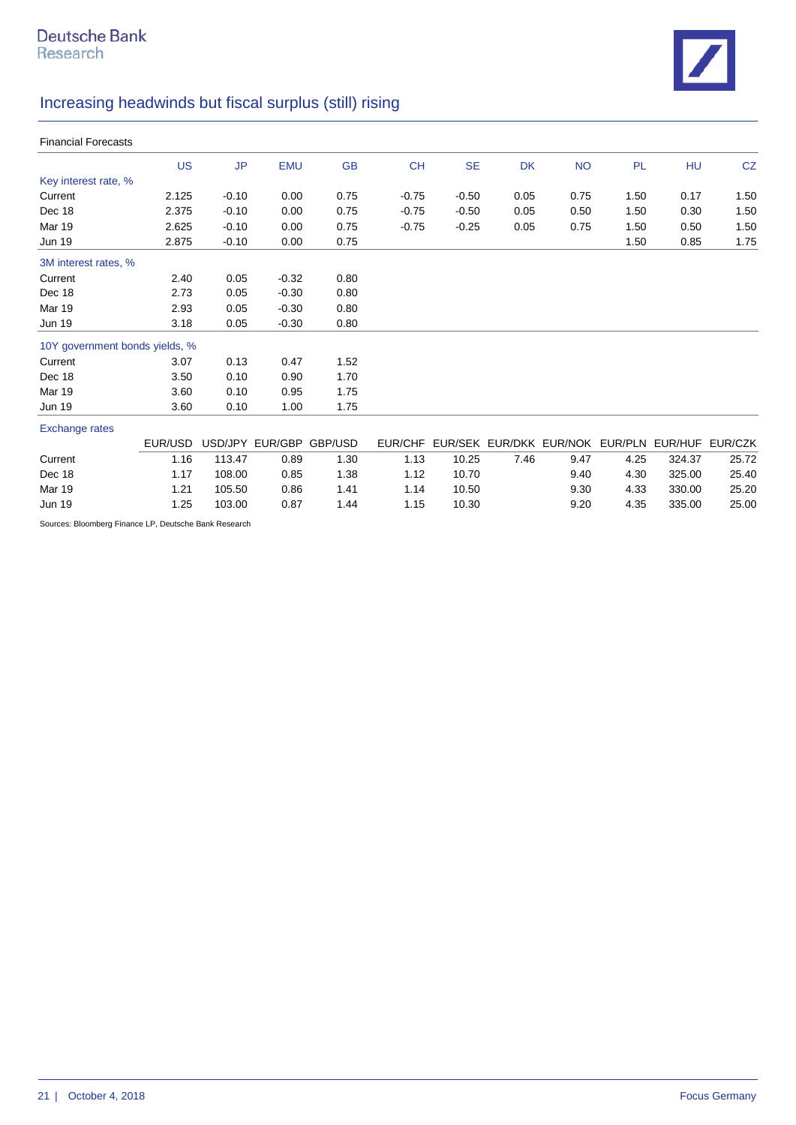

| <b>Financial Forecasts</b> |                                |           |                         |           |           |           |           |                                                         |      |           |      |
|----------------------------|--------------------------------|-----------|-------------------------|-----------|-----------|-----------|-----------|---------------------------------------------------------|------|-----------|------|
|                            | <b>US</b>                      | <b>JP</b> | <b>EMU</b>              | <b>GB</b> | <b>CH</b> | <b>SE</b> | <b>DK</b> | <b>NO</b>                                               | PL   | <b>HU</b> | CZ   |
| Key interest rate, %       |                                |           |                         |           |           |           |           |                                                         |      |           |      |
| Current                    | 2.125                          | $-0.10$   | 0.00                    | 0.75      | $-0.75$   | $-0.50$   | 0.05      | 0.75                                                    | 1.50 | 0.17      | 1.50 |
| Dec 18                     | 2.375                          | $-0.10$   | 0.00                    | 0.75      | $-0.75$   | $-0.50$   | 0.05      | 0.50                                                    | 1.50 | 0.30      | 1.50 |
| Mar 19                     | 2.625                          | $-0.10$   | 0.00                    | 0.75      | $-0.75$   | $-0.25$   | 0.05      | 0.75                                                    | 1.50 | 0.50      | 1.50 |
| <b>Jun 19</b>              | 2.875                          | $-0.10$   | 0.00                    | 0.75      |           |           |           |                                                         | 1.50 | 0.85      | 1.75 |
| 3M interest rates, %       |                                |           |                         |           |           |           |           |                                                         |      |           |      |
| Current                    | 2.40                           | 0.05      | $-0.32$                 | 0.80      |           |           |           |                                                         |      |           |      |
| Dec 18                     | 2.73                           | 0.05      | $-0.30$                 | 0.80      |           |           |           |                                                         |      |           |      |
| Mar 19                     | 2.93                           | 0.05      | $-0.30$                 | 0.80      |           |           |           |                                                         |      |           |      |
| <b>Jun 19</b>              | 3.18                           | 0.05      | $-0.30$                 | 0.80      |           |           |           |                                                         |      |           |      |
|                            | 10Y government bonds yields, % |           |                         |           |           |           |           |                                                         |      |           |      |
| Current                    | 3.07                           | 0.13      | 0.47                    | 1.52      |           |           |           |                                                         |      |           |      |
| Dec 18                     | 3.50                           | 0.10      | 0.90                    | 1.70      |           |           |           |                                                         |      |           |      |
| Mar 19                     | 3.60                           | 0.10      | 0.95                    | 1.75      |           |           |           |                                                         |      |           |      |
| <b>Jun 19</b>              | 3.60                           | 0.10      | 1.00                    | 1.75      |           |           |           |                                                         |      |           |      |
| <b>Exchange rates</b>      |                                |           |                         |           |           |           |           |                                                         |      |           |      |
|                            | EUR/USD                        |           | USD/JPY EUR/GBP GBP/USD |           |           |           |           | EUR/CHF EUR/SEK EUR/DKK EUR/NOK EUR/PLN EUR/HUF EUR/CZK |      |           |      |

|         |      |        |      | EURIUSD USDIJPT EURIGBP GBPIUSD | EUN/UNF EUN/SEN EUN/UNN EUN/NUN EUN/PLN EUN/NUF EUN/UZN |       |      |      |      |        |       |
|---------|------|--------|------|---------------------------------|---------------------------------------------------------|-------|------|------|------|--------|-------|
| Current | 1.16 | 113.47 | 0.89 | 1.30                            | 1.13                                                    | 10.25 | 7.46 | 9.47 | 4.25 | 324.37 | 25.72 |
| Dec 18  | 1.17 | 108.00 | 0.85 | 1.38                            | 1.12                                                    | 10.70 |      | 9.40 | 4.30 | 325.00 | 25.40 |
| Mar 19  | 1.21 | 105.50 | 0.86 | 1.41                            | 1.14                                                    | 10.50 |      | 9.30 | 4.33 | 330.00 | 25.20 |
| Jun 19  | 1.25 | 103.00 | 0.87 | 1.44                            | 1.15                                                    | 10.30 |      | 9.20 | 4.35 | 335.00 | 25.00 |
|         |      |        |      |                                 |                                                         |       |      |      |      |        |       |

Sources: Bloomberg Finance LP, Deutsche Bank Research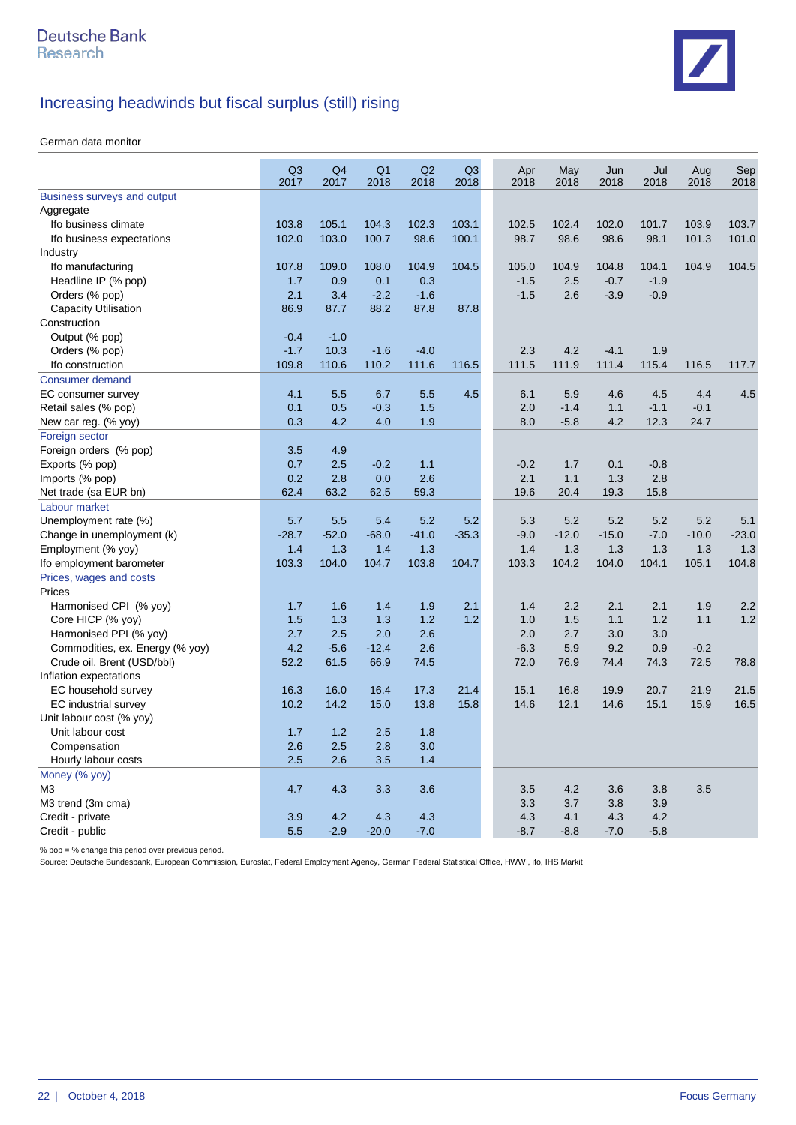

#### German data monitor

|                                 | Q <sub>3</sub><br>2017 | Q4<br>2017 | Q <sub>1</sub><br>2018 | Q2<br>2018 | Q <sub>3</sub><br>2018 | Apr<br>2018 | May<br>2018 | Jun<br>2018 | Jul<br>2018 | Aug<br>2018 | Sep<br>2018 |
|---------------------------------|------------------------|------------|------------------------|------------|------------------------|-------------|-------------|-------------|-------------|-------------|-------------|
| Business surveys and output     |                        |            |                        |            |                        |             |             |             |             |             |             |
| Aggregate                       |                        |            |                        |            |                        |             |             |             |             |             |             |
| Ifo business climate            | 103.8                  | 105.1      | 104.3                  | 102.3      | 103.1                  | 102.5       | 102.4       | 102.0       | 101.7       | 103.9       | 103.7       |
| Ifo business expectations       | 102.0                  | 103.0      | 100.7                  | 98.6       | 100.1                  | 98.7        | 98.6        | 98.6        | 98.1        | 101.3       | 101.0       |
| Industry                        |                        |            |                        |            |                        |             |             |             |             |             |             |
| Ifo manufacturing               | 107.8                  | 109.0      | 108.0                  | 104.9      | 104.5                  | 105.0       | 104.9       | 104.8       | 104.1       | 104.9       | 104.5       |
| Headline IP (% pop)             | 1.7                    | 0.9        | 0.1                    | 0.3        |                        | $-1.5$      | 2.5         | $-0.7$      | $-1.9$      |             |             |
| Orders (% pop)                  | 2.1                    | 3.4        | $-2.2$                 | $-1.6$     |                        | $-1.5$      | 2.6         | $-3.9$      | $-0.9$      |             |             |
| Capacity Utilisation            | 86.9                   | 87.7       | 88.2                   | 87.8       | 87.8                   |             |             |             |             |             |             |
| Construction                    |                        |            |                        |            |                        |             |             |             |             |             |             |
| Output (% pop)                  | $-0.4$                 | $-1.0$     |                        |            |                        |             |             |             |             |             |             |
| Orders (% pop)                  | $-1.7$                 | 10.3       | $-1.6$                 | $-4.0$     |                        | 2.3         | 4.2         | $-4.1$      | 1.9         |             |             |
| Ifo construction                | 109.8                  | 110.6      | 110.2                  | 111.6      | 116.5                  | 111.5       | 111.9       | 111.4       | 115.4       | 116.5       | 117.7       |
| <b>Consumer demand</b>          |                        |            |                        |            |                        |             |             |             |             |             |             |
| EC consumer survey              | 4.1                    | 5.5        | 6.7                    | 5.5        | 4.5                    | 6.1         | 5.9         | 4.6         | 4.5         | 4.4         | 4.5         |
| Retail sales (% pop)            | 0.1                    | 0.5        | $-0.3$                 | 1.5        |                        | 2.0         | $-1.4$      | 1.1         | $-1.1$      | $-0.1$      |             |
| New car reg. (% yoy)            | 0.3                    | 4.2        | 4.0                    | 1.9        |                        | 8.0         | $-5.8$      | 4.2         | 12.3        | 24.7        |             |
| Foreign sector                  |                        |            |                        |            |                        |             |             |             |             |             |             |
| Foreign orders (% pop)          | 3.5                    | 4.9        |                        |            |                        |             |             |             |             |             |             |
| Exports (% pop)                 | 0.7                    | 2.5        | $-0.2$                 | 1.1        |                        | $-0.2$      | 1.7         | 0.1         | $-0.8$      |             |             |
| Imports (% pop)                 | 0.2                    | 2.8        | 0.0                    | 2.6        |                        | 2.1         | 1.1         | 1.3         | 2.8         |             |             |
| Net trade (sa EUR bn)           | 62.4                   | 63.2       | 62.5                   | 59.3       |                        | 19.6        | 20.4        | 19.3        | 15.8        |             |             |
| Labour market                   |                        |            |                        |            |                        |             |             |             |             |             |             |
| Unemployment rate (%)           | 5.7                    | 5.5        | 5.4                    | 5.2        | 5.2                    | 5.3         | 5.2         | 5.2         | 5.2         | 5.2         | 5.1         |
| Change in unemployment (k)      | $-28.7$                | $-52.0$    | $-68.0$                | $-41.0$    | $-35.3$                | $-9.0$      | $-12.0$     | $-15.0$     | $-7.0$      | $-10.0$     | $-23.0$     |
| Employment (% yoy)              | 1.4                    | 1.3        | 1.4                    | 1.3        |                        | 1.4         | 1.3         | 1.3         | 1.3         | 1.3         | 1.3         |
| Ifo employment barometer        | 103.3                  | 104.0      | 104.7                  | 103.8      | 104.7                  | 103.3       | 104.2       | 104.0       | 104.1       | 105.1       | 104.8       |
| Prices, wages and costs         |                        |            |                        |            |                        |             |             |             |             |             |             |
| Prices                          |                        |            |                        |            |                        |             |             |             |             |             |             |
| Harmonised CPI (% yoy)          | 1.7                    | 1.6        | 1.4                    | 1.9        | 2.1                    | 1.4         | 2.2         | 2.1         | 2.1         | 1.9         | 2.2         |
| Core HICP (% yoy)               | 1.5                    | 1.3        | 1.3                    | 1.2        | 1.2                    | 1.0         | 1.5         | 1.1         | 1.2         | 1.1         | 1.2         |
| Harmonised PPI (% yoy)          | 2.7                    | 2.5        | 2.0                    | 2.6        |                        | 2.0         | 2.7         | 3.0         | 3.0         |             |             |
| Commodities, ex. Energy (% yoy) | 4.2                    | $-5.6$     | $-12.4$                | 2.6        |                        | $-6.3$      | 5.9         | 9.2         | 0.9         | $-0.2$      |             |
| Crude oil, Brent (USD/bbl)      | 52.2                   | 61.5       | 66.9                   | 74.5       |                        | 72.0        | 76.9        | 74.4        | 74.3        | 72.5        | 78.8        |
| Inflation expectations          |                        |            |                        |            |                        |             |             |             |             |             |             |
| EC household survey             | 16.3                   | 16.0       | 16.4                   | 17.3       | 21.4                   | 15.1        | 16.8        | 19.9        | 20.7        | 21.9        | 21.5        |
| EC industrial survey            | 10.2                   | 14.2       | 15.0                   | 13.8       | 15.8                   | 14.6        | 12.1        | 14.6        | 15.1        | 15.9        | 16.5        |
| Unit labour cost (% yoy)        |                        |            |                        |            |                        |             |             |             |             |             |             |
| Unit labour cost                | 1.7                    | 1.2        | 2.5                    | 1.8        |                        |             |             |             |             |             |             |
| Compensation                    | 2.6                    | 2.5        | 2.8                    | 3.0        |                        |             |             |             |             |             |             |
| Hourly labour costs             | 2.5                    | 2.6        | 3.5                    | 1.4        |                        |             |             |             |             |             |             |
| Money (% yoy)                   |                        |            |                        |            |                        |             |             |             |             |             |             |
| M <sub>3</sub>                  | 4.7                    | 4.3        | 3.3                    | 3.6        |                        | 3.5         | 4.2         | 3.6         | 3.8         | 3.5         |             |
| M3 trend (3m cma)               |                        |            |                        |            |                        | 3.3         | 3.7         | 3.8         | 3.9         |             |             |
| Credit - private                | 3.9                    | 4.2        | 4.3                    | 4.3        |                        | 4.3         | 4.1         | 4.3         | 4.2         |             |             |
| Credit - public                 | 5.5                    | $-2.9$     | $-20.0$                | $-7.0$     |                        | $-8.7$      | $-8.8$      | $-7.0$      | $-5.8$      |             |             |

% pop = % change this period over previous period.

Source: Deutsche Bundesbank, European Commission, Eurostat, Federal Employment Agency, German Federal Statistical Office, HWWI, ifo, IHS Markit